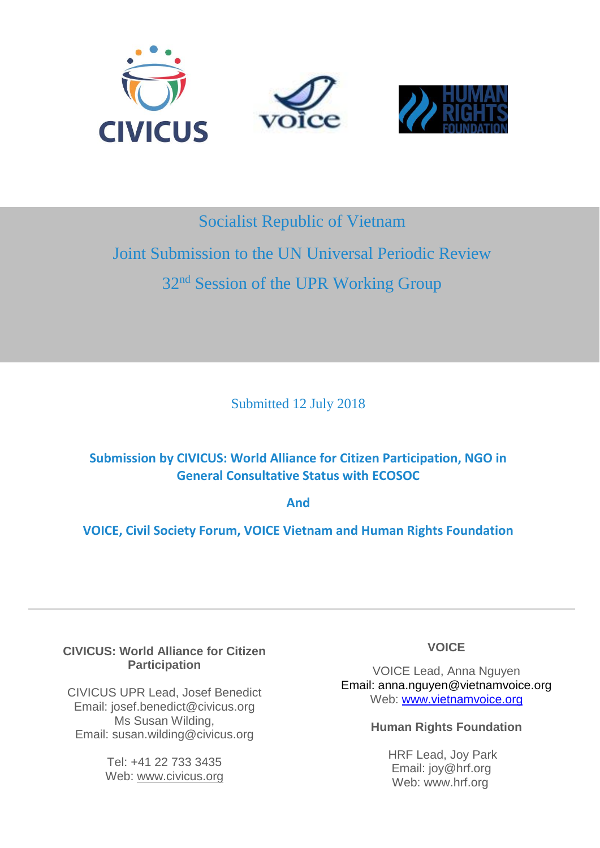

# Socialist Republic of Vietnam

# Joint Submission to the UN Universal Periodic Review 32<sup>nd</sup> Session of the UPR Working Group

Submitted 12 July 2018

# **Submission by CIVICUS: World Alliance for Citizen Participation, NGO in General Consultative Status with ECOSOC**

**And**

**VOICE, Civil Society Forum, VOICE Vietnam and Human Rights Foundation**

## **CIVICUS: World Alliance for Citizen Participation**

CIVICUS UPR Lead, Josef Benedict Email: josef.benedict@civicus.org Ms Susan Wilding, Email: susan.wilding@civicus.org 

> Tel: +41 22 733 3435 Web: [www.civicus.org](http://www.civicus.org/)

# **VOICE**

VOICE Lead, Anna Nguyen Email: anna.nguyen@vietnamvoice.org Web: [www.vietnamvoice.org](http://www.vietnamvoice.org/)

#### **Human Rights Foundation**

HRF Lead, Joy Park Email: joy@hrf.org Web: www.hrf.org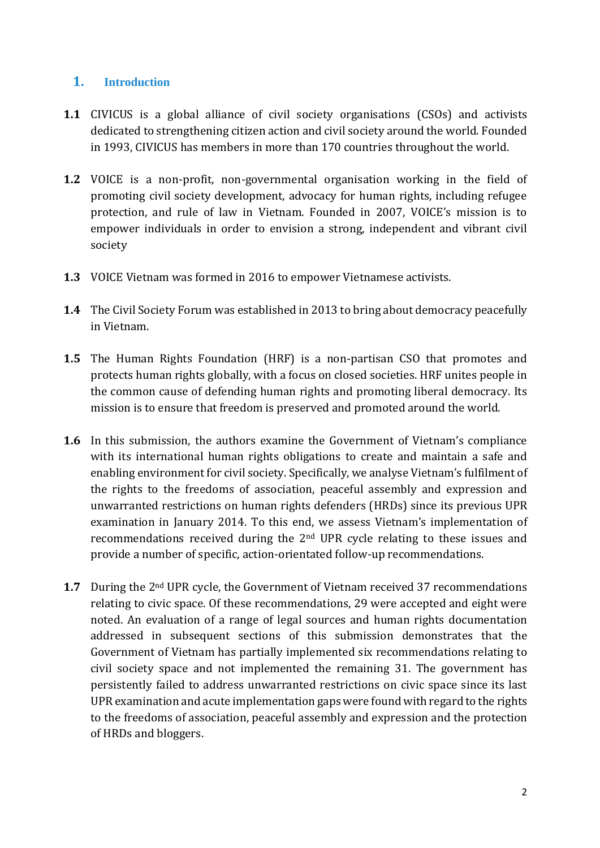#### **1. Introduction**

- **1.1** CIVICUS is a global alliance of civil society organisations (CSOs) and activists dedicated to strengthening citizen action and civil society around the world. Founded in 1993, CIVICUS has members in more than 170 countries throughout the world.
- **1.2** VOICE is a non-profit, non-governmental organisation working in the field of promoting civil society development, advocacy for human rights, including refugee protection, and rule of law in Vietnam. Founded in 2007, VOICE's mission is to empower individuals in order to envision a strong, independent and vibrant civil society
- **1.3** VOICE Vietnam was formed in 2016 to empower Vietnamese activists.
- **1.4** The Civil Society Forum was established in 2013 to bring about democracy peacefully in Vietnam.
- **1.5** The Human Rights Foundation (HRF) is a non-partisan CSO that promotes and protects human rights globally, with a focus on closed societies. HRF unites people in the common cause of defending human rights and promoting liberal democracy. Its mission is to ensure that freedom is preserved and promoted around the world.
- **1.6** In this submission, the authors examine the Government of Vietnam's compliance with its international human rights obligations to create and maintain a safe and enabling environment for civil society. Specifically, we analyse Vietnam's fulfilment of the rights to the freedoms of association, peaceful assembly and expression and unwarranted restrictions on human rights defenders (HRDs) since its previous UPR examination in January 2014. To this end, we assess Vietnam's implementation of recommendations received during the 2nd UPR cycle relating to these issues and provide a number of specific, action-orientated follow-up recommendations.
- **1.7** During the 2<sup>nd</sup> UPR cycle, the Government of Vietnam received 37 recommendations relating to civic space. Of these recommendations, 29 were accepted and eight were noted. An evaluation of a range of legal sources and human rights documentation addressed in subsequent sections of this submission demonstrates that the Government of Vietnam has partially implemented six recommendations relating to civil society space and not implemented the remaining 31. The government has persistently failed to address unwarranted restrictions on civic space since its last UPR examination and acute implementation gaps were found with regard to the rights to the freedoms of association, peaceful assembly and expression and the protection of HRDs and bloggers.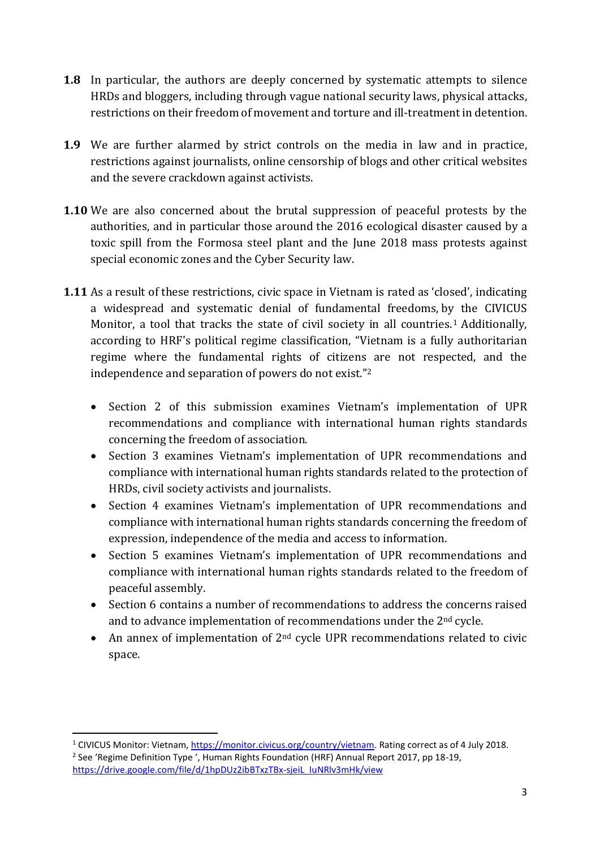- **1.8** In particular, the authors are deeply concerned by systematic attempts to silence HRDs and bloggers, including through vague national security laws, physical attacks, restrictions on their freedom of movement and torture and ill-treatment in detention.
- **1.9** We are further alarmed by strict controls on the media in law and in practice, restrictions against journalists, online censorship of blogs and other critical websites and the severe crackdown against activists.
- **1.10** We are also concerned about the brutal suppression of peaceful protests by the authorities, and in particular those around the 2016 ecological disaster caused by a toxic spill from the Formosa steel plant and the June 2018 mass protests against special economic zones and the Cyber Security law.
- **1.11** As a result of these restrictions, civic space in Vietnam is rated as 'closed', indicating a widespread and systematic denial of fundamental freedoms, by the CIVICUS Monitor, a tool that tracks the state of civil society in all countries.<sup>1</sup> Additionally, according to HRF's political regime classification, "Vietnam is a fully authoritarian regime where the fundamental rights of citizens are not respected, and the independence and separation of powers do not exist."<sup>2</sup>
	- Section 2 of this submission examines Vietnam's implementation of UPR recommendations and compliance with international human rights standards concerning the freedom of association.
	- Section 3 examines Vietnam's implementation of UPR recommendations and compliance with international human rights standards related to the protection of HRDs, civil society activists and journalists.
	- Section 4 examines Vietnam's implementation of UPR recommendations and compliance with international human rights standards concerning the freedom of expression, independence of the media and access to information.
	- Section 5 examines Vietnam's implementation of UPR recommendations and compliance with international human rights standards related to the freedom of peaceful assembly.
	- Section 6 contains a number of recommendations to address the concerns raised and to advance implementation of recommendations under the 2nd cycle.
	- An annex of implementation of  $2<sup>nd</sup>$  cycle UPR recommendations related to civic space.

<sup>1</sup> CIVICUS Monitor: Vietnam[, https://monitor.civicus.org/country/vietnam.](https://monitor.civicus.org/country/macedonia) Rating correct as of 4 July 2018. <sup>2</sup> See 'Regime Definition Type ', Human Rights Foundation (HRF) Annual Report 2017, pp 18-19, [https://drive.google.com/file/d/1hpDUz2ibBTxzTBx-sjeiL\\_IuNRlv3mHk/view](https://drive.google.com/file/d/1hpDUz2ibBTxzTBx-sjeiL_IuNRlv3mHk/view)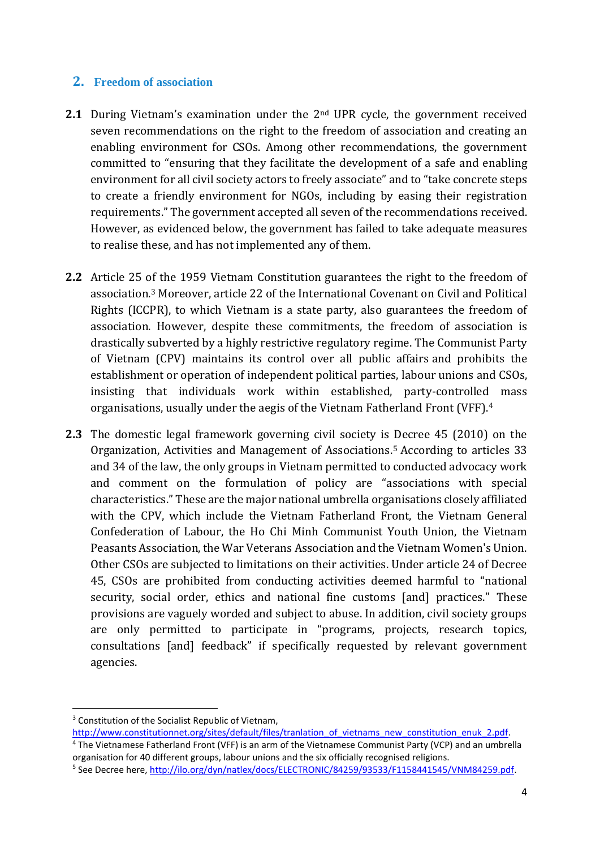#### **2. Freedom of association**

- **2.1** During Vietnam's examination under the 2<sup>nd</sup> UPR cycle, the government received seven recommendations on the right to the freedom of association and creating an enabling environment for CSOs. Among other recommendations, the government committed to "ensuring that they facilitate the development of a safe and enabling environment for all civil society actors to freely associate" and to "take concrete steps to create a friendly environment for NGOs, including by easing their registration requirements." The government accepted all seven of the recommendations received. However, as evidenced below, the government has failed to take adequate measures to realise these, and has not implemented any of them.
- **2.2** Article 25 of the 1959 Vietnam Constitution guarantees the right to the freedom of association.<sup>3</sup> Moreover, article 22 of the International Covenant on Civil and Political Rights (ICCPR), to which Vietnam is a state party, also guarantees the freedom of association. However, despite these commitments, the freedom of association is drastically subverted by a highly restrictive regulatory regime. The Communist Party of Vietnam (CPV) maintains its control over all public affairs and prohibits the establishment or operation of independent political parties, labour unions and CSOs, insisting that individuals work within established, party-controlled mass organisations, usually under the aegis of the Vietnam Fatherland Front (VFF). 4
- **2.3** The domestic legal framework governing civil society is Decree 45 (2010) on the Organization, Activities and Management of Associations.<sup>5</sup> According to articles 33 and 34 of the law, the only groups in Vietnam permitted to conducted advocacy work and comment on the formulation of policy are "associations with special characteristics." These are the major national umbrella organisations closely affiliated with the CPV, which include the Vietnam Fatherland Front, the Vietnam General Confederation of Labour, the Ho Chi Minh Communist Youth Union, the Vietnam Peasants Association, the War Veterans Association and the Vietnam Women's Union. Other CSOs are subjected to limitations on their activities. Under article 24 of Decree 45, CSOs are prohibited from conducting activities deemed harmful to "national security, social order, ethics and national fine customs [and] practices." These provisions are vaguely worded and subject to abuse. In addition, civil society groups are only permitted to participate in "programs, projects, research topics, consultations [and] feedback" if specifically requested by relevant government agencies.

<sup>&</sup>lt;sup>3</sup> Constitution of the Socialist Republic of Vietnam,

[http://www.constitutionnet.org/sites/default/files/tranlation\\_of\\_vietnams\\_new\\_constitution\\_enuk\\_2.pdf.](http://www.constitutionnet.org/sites/default/files/tranlation_of_vietnams_new_constitution_enuk_2.pdf) <sup>4</sup> The Vietnamese Fatherland Front (VFF) is an arm of the Vietnamese Communist Party (VCP) and an umbrella organisation for 40 different groups, labour unions and the six officially recognised religions.

<sup>&</sup>lt;sup>5</sup> See Decree here, [http://ilo.org/dyn/natlex/docs/ELECTRONIC/84259/93533/F1158441545/VNM84259.pdf.](http://ilo.org/dyn/natlex/docs/ELECTRONIC/84259/93533/F1158441545/VNM84259.pdf)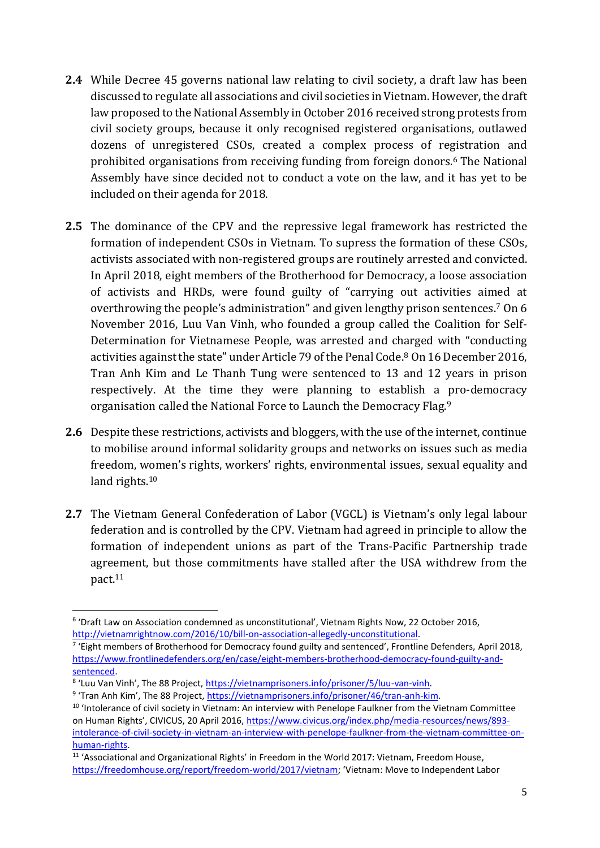- **2.4** While Decree 45 governs national law relating to civil society, a draft law has been discussed to regulate all associations and civil societies in Vietnam.However, the draft law proposed to the National Assembly in October 2016 received strong protests from civil society groups, because it only recognised registered organisations, outlawed dozens of unregistered CSOs, created a complex process of registration and prohibited organisations from receiving funding from foreign donors.<sup>6</sup> The National Assembly have since decided not to conduct a vote on the law, and it has yet to be included on their agenda for 2018.
- **2.5** The dominance of the CPV and the repressive legal framework has restricted the formation of independent CSOs in Vietnam. To supress the formation of these CSOs, activists associated with non-registered groups are routinely arrested and convicted. In April 2018, eight members of the Brotherhood for Democracy, a loose association of activists and HRDs, were found guilty of "carrying out activities aimed at overthrowing the people's administration" and given lengthy prison sentences.<sup>7</sup> On 6 November 2016, Luu Van Vinh, who founded a group called the Coalition for Self-Determination for Vietnamese People, was arrested and charged with "conducting activities against the state" under Article 79 of the Penal Code.<sup>8</sup> On 16 December 2016, Tran Anh Kim and Le Thanh Tung were sentenced to 13 and 12 years in prison respectively. At the time they were planning to establish a pro-democracy organisation called the National Force to Launch the Democracy Flag.<sup>9</sup>
- **2.6** Despite these restrictions, activists and bloggers, with the use of the internet, continue to mobilise around informal solidarity groups and networks on issues such as media freedom, women's rights, workers' rights, environmental issues, sexual equality and land rights.<sup>10</sup>
- **2.7** The Vietnam General Confederation of Labor (VGCL) is Vietnam's only legal labour federation and is controlled by the CPV. Vietnam had agreed in principle to allow the formation of independent unions as part of the Trans-Pacific Partnership trade agreement, but those commitments have stalled after the USA withdrew from the pact.<sup>11</sup>

<sup>1</sup> <sup>6</sup> 'Draft Law on Association condemned as unconstitutional', Vietnam Rights Now, 22 October 2016, [http://vietnamrightnow.com/2016/10/bill-on-association-allegedly-unconstitutional.](http://vietnamrightnow.com/2016/10/bill-on-association-allegedly-unconstitutional/)

<sup>&</sup>lt;sup>7</sup> 'Eight members of Brotherhood for Democracy found guilty and sentenced', Frontline Defenders, April 2018, [https://www.frontlinedefenders.org/en/case/eight-members-brotherhood-democracy-found-guilty-and](https://www.frontlinedefenders.org/en/case/eight-members-brotherhood-democracy-found-guilty-and-sentenced)[sentenced.](https://www.frontlinedefenders.org/en/case/eight-members-brotherhood-democracy-found-guilty-and-sentenced)

<sup>&</sup>lt;sup>8</sup> 'Luu Van Vinh', The 88 Project, <u>https://vietnamprisoners.info/prisoner/5/luu-van-vinh</u>.

<sup>&</sup>lt;sup>9</sup> 'Tran Anh Kim', The 88 Project, [https://vietnamprisoners.info/prisoner/46/tran-anh-kim.](https://vietnamprisoners.info/prisoner/46/tran-anh-kim)

<sup>&</sup>lt;sup>10</sup> 'Intolerance of civil society in Vietnam: An interview with Penelope Faulkner from the Vietnam Committee on Human Rights', CIVICUS, 20 April 2016, [https://www.civicus.org/index.php/media-resources/news/893](https://www.civicus.org/index.php/media-resources/news/893-intolerance-of-civil-society-in-vietnam-an-interview-with-penelope-faulkner-from-the-vietnam-committee-on-human-rights) [intolerance-of-civil-society-in-vietnam-an-interview-with-penelope-faulkner-from-the-vietnam-committee-on](https://www.civicus.org/index.php/media-resources/news/893-intolerance-of-civil-society-in-vietnam-an-interview-with-penelope-faulkner-from-the-vietnam-committee-on-human-rights)[human-rights.](https://www.civicus.org/index.php/media-resources/news/893-intolerance-of-civil-society-in-vietnam-an-interview-with-penelope-faulkner-from-the-vietnam-committee-on-human-rights)

<sup>&</sup>lt;sup>11</sup> 'Associational and Organizational Rights' in Freedom in the World 2017: Vietnam, Freedom House, [https://freedomhouse.org/report/freedom-world/2017/vietnam;](https://freedomhouse.org/report/freedom-world/2017/vietnam) 'Vietnam: Move to Independent Labor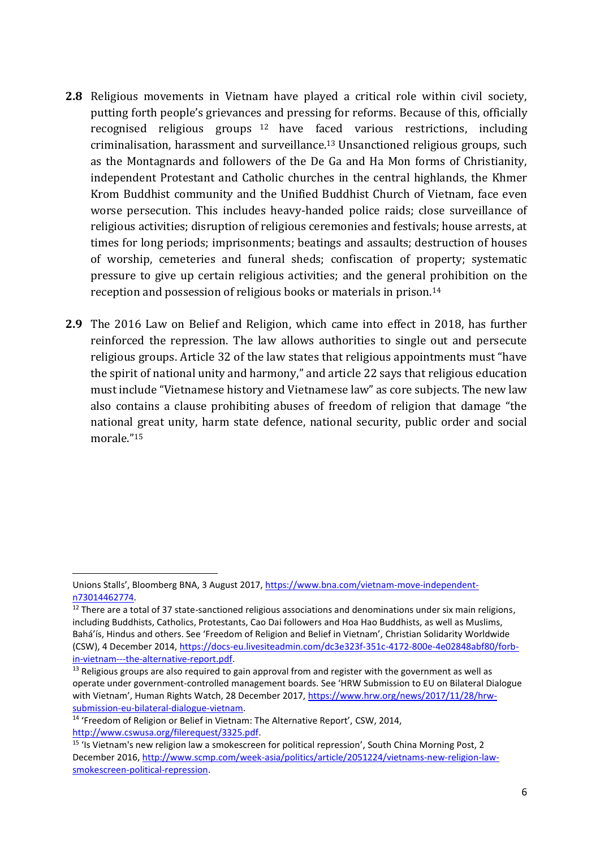- **2.8** Religious movements in Vietnam have played a critical role within civil society, putting forth people's grievances and pressing for reforms. Because of this, officially recognised religious groups <sup>12</sup> have faced various restrictions, including criminalisation, harassment and surveillance. <sup>13</sup> Unsanctioned religious groups, such as the Montagnards and followers of the De Ga and Ha Mon forms of Christianity, independent Protestant and Catholic churches in the central highlands, the Khmer Krom Buddhist community and the Unified Buddhist Church of Vietnam, face even worse persecution. This includes heavy-handed police raids; close surveillance of religious activities; disruption of religious ceremonies and festivals; house arrests, at times for long periods; imprisonments; beatings and assaults; destruction of houses of worship, cemeteries and funeral sheds; confiscation of property; systematic pressure to give up certain religious activities; and the general prohibition on the reception and possession of religious books or materials in prison.<sup>14</sup>
- **2.9** The 2016 Law on Belief and Religion, which came into effect in 2018, has further reinforced the repression. The law allows authorities to single out and persecute religious groups. Article 32 of the law states that religious appointments must "have the spirit of national unity and harmony," and article 22 says that religious education must include "Vietnamese history and Vietnamese law" as core subjects. The new law also contains a clause prohibiting abuses of freedom of religion that damage "the national great unity, harm state defence, national security, public order and social morale." 15

 $\overline{a}$ 

Unions Stalls', Bloomberg BNA, 3 August 2017, [https://www.bna.com/vietnam-move-independent](https://www.bna.com/vietnam-move-independent-n73014462774/)[n73014462774.](https://www.bna.com/vietnam-move-independent-n73014462774/)

<sup>&</sup>lt;sup>12</sup> There are a total of 37 state-sanctioned religious associations and denominations under six main religions, including Buddhists, Catholics, Protestants, Cao Dai followers and Hoa Hao Buddhists, as well as Muslims, Bahá'ís, Hindus and others. See 'Freedom of Religion and Belief in Vietnam', Christian Solidarity Worldwide (CSW), 4 December 2014, [https://docs-eu.livesiteadmin.com/dc3e323f-351c-4172-800e-4e02848abf80/forb](https://docs-eu.livesiteadmin.com/dc3e323f-351c-4172-800e-4e02848abf80/forb-in-vietnam---the-alternative-report.pdf)[in-vietnam---the-alternative-report.pdf.](https://docs-eu.livesiteadmin.com/dc3e323f-351c-4172-800e-4e02848abf80/forb-in-vietnam---the-alternative-report.pdf)

 $13$  Religious groups are also required to gain approval from and register with the government as well as operate under government-controlled management boards. See 'HRW Submission to EU on Bilateral Dialogue with Vietnam', Human Rights Watch, 28 December 2017, [https://www.hrw.org/news/2017/11/28/hrw](https://www.hrw.org/news/2017/11/28/hrw-submission-eu-bilateral-dialogue-vietnam)[submission-eu-bilateral-dialogue-vietnam.](https://www.hrw.org/news/2017/11/28/hrw-submission-eu-bilateral-dialogue-vietnam)

<sup>&</sup>lt;sup>14</sup> 'Freedom of Religion or Belief in Vietnam: The Alternative Report', CSW, 2014, [http://www.cswusa.org/filerequest/3325.pdf.](http://www.cswusa.org/filerequest/3325.pdf)

<sup>15</sup> 'Is Vietnam's new religion law a smokescreen for political repression', South China Morning Post, 2 December 2016, [http://www.scmp.com/week-asia/politics/article/2051224/vietnams-new-religion-law](http://www.scmp.com/week-asia/politics/article/2051224/vietnams-new-religion-law-smokescreen-political-repression)[smokescreen-political-repression.](http://www.scmp.com/week-asia/politics/article/2051224/vietnams-new-religion-law-smokescreen-political-repression)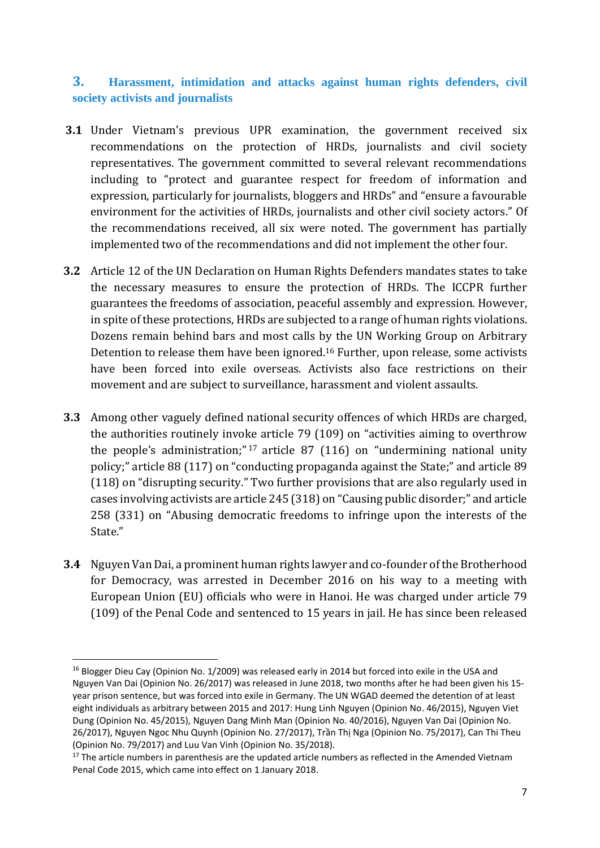#### **3. Harassment, intimidation and attacks against human rights defenders, civil society activists and journalists**

- **3.1** Under Vietnam's previous UPR examination, the government received six recommendations on the protection of HRDs, journalists and civil society representatives. The government committed to several relevant recommendations including to "protect and guarantee respect for freedom of information and expression, particularly for journalists, bloggers and HRDs" and "ensure a favourable environment for the activities of HRDs, journalists and other civil society actors." Of the recommendations received, all six were noted. The government has partially implemented two of the recommendations and did not implement the other four.
- **3.2** Article 12 of the UN Declaration on Human Rights Defenders mandates states to take the necessary measures to ensure the protection of HRDs. The ICCPR further guarantees the freedoms of association, peaceful assembly and expression. However, in spite of these protections, HRDs are subjected to a range of human rights violations. Dozens remain behind bars and most calls by the UN Working Group on Arbitrary Detention to release them have been ignored. <sup>16</sup> Further, upon release, some activists have been forced into exile overseas. Activists also face restrictions on their movement and are subject to surveillance, harassment and violent assaults.
- **3.3** Among other vaguely defined national security offences of which HRDs are charged, the authorities routinely invoke article 79 (109) on "activities aiming to overthrow the people's administration;" <sup>17</sup> article 87 (116) on "undermining national unity policy;" article 88 (117) on "conducting propaganda against the State;" and article 89 (118) on "disrupting security." Two further provisions that are also regularly used in cases involving activists are article 245 (318) on "Causing public disorder;" and article 258 (331) on "Abusing democratic freedoms to infringe upon the interests of the State."
- **3.4** Nguyen Van Dai, a prominent human rights lawyer and co-founder of the Brotherhood for Democracy, was arrested in December 2016 on his way to a meeting with European Union (EU) officials who were in Hanoi. He was charged under article 79 (109) of the Penal Code and sentenced to 15 years in jail. He has since been released

<sup>&</sup>lt;sup>16</sup> Blogger Dieu Cay (Opinion No. 1/2009) was released early in 2014 but forced into exile in the USA and Nguyen Van Dai (Opinion No. 26/2017) was released in June 2018, two months after he had been given his 15 year prison sentence, but was forced into exile in Germany. The UN WGAD deemed the detention of at least eight individuals as arbitrary between 2015 and 2017: Hung Linh Nguyen (Opinion No. 46/2015), Nguyen Viet Dung (Opinion No. 45/2015), Nguyen Dang Minh Man (Opinion No. 40/2016), Nguyen Van Dai (Opinion No. 26/2017), Nguyen Ngoc Nhu Quynh (Opinion No. 27/2017), Trần Thị Nga (Opinion No. 75/2017), Can Thi Theu (Opinion No. 79/2017) and Luu Van Vinh (Opinion No. 35/2018).

 $17$  The article numbers in parenthesis are the updated article numbers as reflected in the Amended Vietnam Penal Code 2015, which came into effect on 1 January 2018.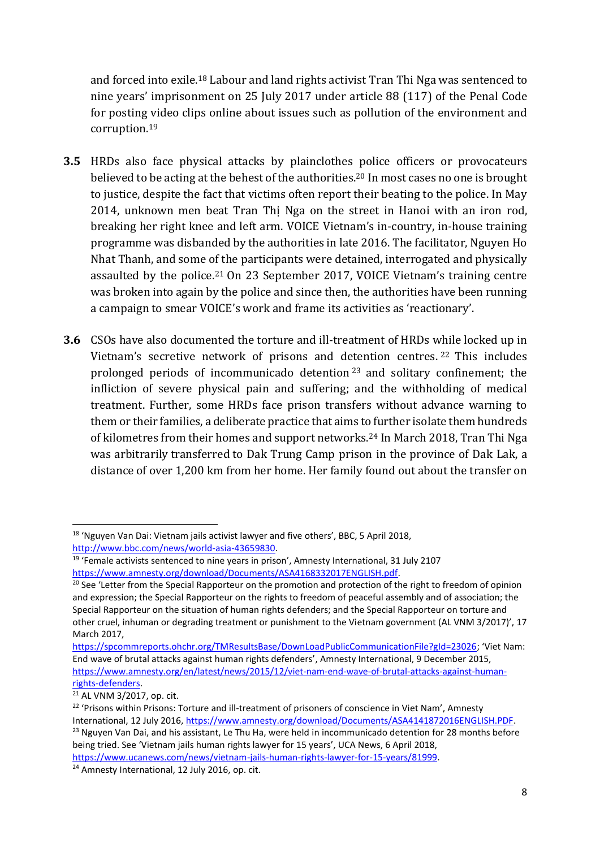and forced into exile.<sup>18</sup> Labour and land rights activist Tran Thi Nga was sentenced to nine years' imprisonment on 25 July 2017 under article 88 (117) of the Penal Code for posting video clips online about issues such as pollution of the environment and corruption.<sup>19</sup>

- **3.5** HRDs also face physical attacks by plainclothes police officers or provocateurs believed to be acting at the behest of the authorities. <sup>20</sup> In most cases no one is brought to justice, despite the fact that victims often report their beating to the police. In May 2014, unknown men beat Tran Thị Nga on the street in Hanoi with an iron rod, breaking her right knee and left arm. VOICE Vietnam's in-country, in-house training programme was disbanded by the authorities in late 2016. The facilitator, Nguyen Ho Nhat Thanh, and some of the participants were detained, interrogated and physically assaulted by the police.<sup>21</sup> On 23 September 2017, VOICE Vietnam's training centre was broken into again by the police and since then, the authorities have been running a campaign to smear VOICE's work and frame its activities as 'reactionary'.
- **3.6** CSOs have also documented the torture and ill-treatment of HRDs while locked up in Vietnam's secretive network of prisons and detention centres. <sup>22</sup> This includes prolonged periods of incommunicado detention <sup>23</sup> and solitary confinement; the infliction of severe physical pain and suffering; and the withholding of medical treatment. Further, some HRDs face prison transfers without advance warning to them or their families, a deliberate practice that aims to further isolate them hundreds of kilometres from their homes and support networks.<sup>24</sup> In March 2018, Tran Thi Nga was arbitrarily transferred to Dak Trung Camp prison in the province of Dak Lak, a distance of over 1,200 km from her home. Her family found out about the transfer on

<sup>18</sup> 'Nguyen Van Dai: Vietnam jails activist lawyer and five others', BBC, 5 April 2018, [http://www.bbc.com/news/world-asia-43659830.](http://www.bbc.com/news/world-asia-43659830)

<sup>&</sup>lt;sup>19</sup> 'Female activists sentenced to nine years in prison', Amnesty International, 31 July 2107 [https://www.amnesty.org/download/Documents/ASA4168332017ENGLISH.pdf.](https://www.amnesty.org/download/Documents/ASA4168332017ENGLISH.pdf)

<sup>&</sup>lt;sup>20</sup> See 'Letter from the Special Rapporteur on the promotion and protection of the right to freedom of opinion and expression; the Special Rapporteur on the rights to freedom of peaceful assembly and of association; the Special Rapporteur on the situation of human rights defenders; and the Special Rapporteur on torture and other cruel, inhuman or degrading treatment or punishment to the Vietnam government (AL VNM 3/2017)', 17 March 2017,

[https://spcommreports.ohchr.org/TMResultsBase/DownLoadPublicCommunicationFile?gId=23026;](https://spcommreports.ohchr.org/TMResultsBase/DownLoadPublicCommunicationFile?gId=23026) 'Viet Nam: End wave of brutal attacks against human rights defenders', Amnesty International, 9 December 2015, [https://www.amnesty.org/en/latest/news/2015/12/viet-nam-end-wave-of-brutal-attacks-against-human](https://www.amnesty.org/en/latest/news/2015/12/viet-nam-end-wave-of-brutal-attacks-against-human-rights-defenders/)[rights-defenders.](https://www.amnesty.org/en/latest/news/2015/12/viet-nam-end-wave-of-brutal-attacks-against-human-rights-defenders/)

<sup>21</sup> AL VNM 3/2017, op. cit.

<sup>&</sup>lt;sup>22</sup> 'Prisons within Prisons: Torture and ill-treatment of prisoners of conscience in Viet Nam', Amnesty International, 12 July 2016, [https://www.amnesty.org/download/Documents/ASA4141872016ENGLISH.PDF.](https://www.amnesty.org/download/Documents/ASA4141872016ENGLISH.PDF)

<sup>&</sup>lt;sup>23</sup> Nguyen Van Dai, and his assistant, Le Thu Ha, were held in incommunicado detention for 28 months before being tried. See 'Vietnam jails human rights lawyer for 15 years', UCA News, 6 April 2018,

[https://www.ucanews.com/news/vietnam-jails-human-rights-lawyer-for-15-years/81999.](https://www.ucanews.com/news/vietnam-jails-human-rights-lawyer-for-15-years/81999)

<sup>&</sup>lt;sup>24</sup> Amnesty International, 12 July 2016, op. cit.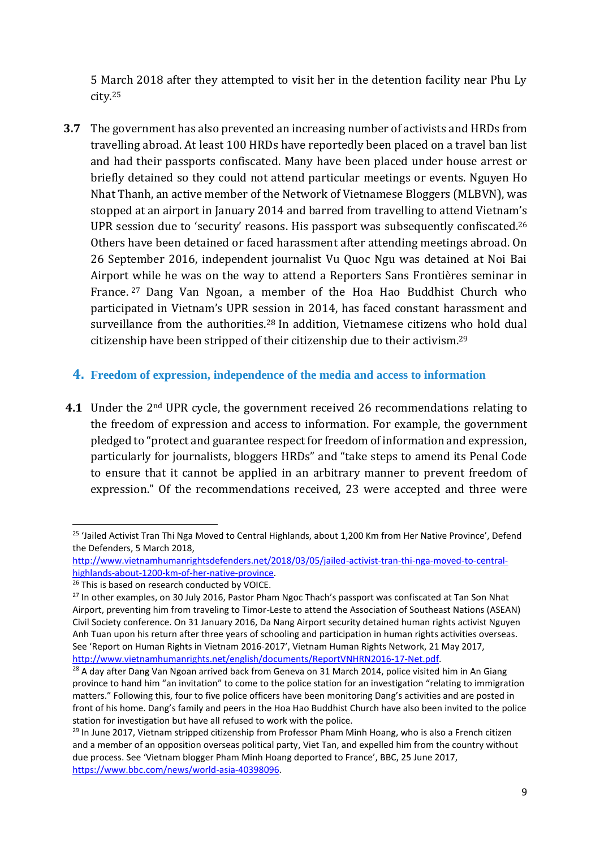5 March 2018 after they attempted to visit her in the detention facility near Phu Ly city.<sup>25</sup>

- **3.7** The government has also prevented an increasing number of activists and HRDs from travelling abroad. At least 100 HRDs have reportedly been placed on a travel ban list and had their passports confiscated. Many have been placed under house arrest or briefly detained so they could not attend particular meetings or events. Nguyen Ho Nhat Thanh, an active member of the Network of Vietnamese Bloggers (MLBVN), was stopped at an airport in January 2014 and barred from travelling to attend Vietnam's UPR session due to 'security' reasons. His passport was subsequently confiscated.<sup>26</sup> Others have been detained or faced harassment after attending meetings abroad. On 26 September 2016, independent journalist Vu Quoc Ngu was detained at Noi Bai Airport while he was on the way to attend a Reporters Sans Frontières seminar in France. <sup>27</sup> Dang Van Ngoan, a member of the Hoa Hao Buddhist Church who participated in Vietnam's UPR session in 2014, has faced constant harassment and surveillance from the authorities.<sup>28</sup> In addition, Vietnamese citizens who hold dual citizenship have been stripped of their citizenship due to their activism.<sup>29</sup>
	- **4. Freedom of expression, independence of the media and access to information**
- **4.1** Under the 2nd UPR cycle, the government received 26 recommendations relating to the freedom of expression and access to information. For example, the government pledged to "protect and guarantee respect for freedom of information and expression, particularly for journalists, bloggers HRDs" and "take steps to amend its Penal Code to ensure that it cannot be applied in an arbitrary manner to prevent freedom of expression." Of the recommendations received, 23 were accepted and three were

<sup>&</sup>lt;sup>25</sup> 'Jailed Activist Tran Thi Nga Moved to Central Highlands, about 1,200 Km from Her Native Province', Defend the Defenders, 5 March 2018,

[http://www.vietnamhumanrightsdefenders.net/2018/03/05/jailed-activist-tran-thi-nga-moved-to-central](http://www.vietnamhumanrightsdefenders.net/2018/03/05/jailed-activist-tran-thi-nga-moved-to-central-highlands-about-1200-km-of-her-native-province/)[highlands-about-1200-km-of-her-native-province.](http://www.vietnamhumanrightsdefenders.net/2018/03/05/jailed-activist-tran-thi-nga-moved-to-central-highlands-about-1200-km-of-her-native-province/)

<sup>&</sup>lt;sup>26</sup> This is based on research conducted by VOICE.

<sup>&</sup>lt;sup>27</sup> In other examples, on 30 July 2016, Pastor Pham Ngoc Thach's passport was confiscated at Tan Son Nhat Airport, preventing him from traveling to Timor-Leste to attend the Association of Southeast Nations (ASEAN) Civil Society conference. On 31 January 2016, Da Nang Airport security detained human rights activist Nguyen Anh Tuan upon his return after three years of schooling and participation in human rights activities overseas. See 'Report on Human Rights in Vietnam 2016-2017', Vietnam Human Rights Network, 21 May 2017, [http://www.vietnamhumanrights.net/english/documents/ReportVNHRN2016-17-Net.pdf.](http://www.vietnamhumanrights.net/english/documents/ReportVNHRN2016-17-Net.pdf)

<sup>&</sup>lt;sup>28</sup> A day after Dang Van Ngoan arrived back from Geneva on 31 March 2014, police visited him in An Giang province to hand him "an invitation" to come to the police station for an investigation "relating to immigration matters." Following this, four to five police officers have been monitoring Dang's activities and are posted in front of his home. Dang's family and peers in the Hoa Hao Buddhist Church have also been invited to the police station for investigation but have all refused to work with the police.

<sup>&</sup>lt;sup>29</sup> In June 2017, Vietnam stripped citizenship from Professor Pham Minh Hoang, who is also a French citizen and a member of an opposition overseas political party, Viet Tan, and expelled him from the country without due process. See 'Vietnam blogger Pham Minh Hoang deported to France', BBC, 25 June 2017, [https://www.bbc.com/news/world-asia-40398096.](https://www.bbc.com/news/world-asia-40398096)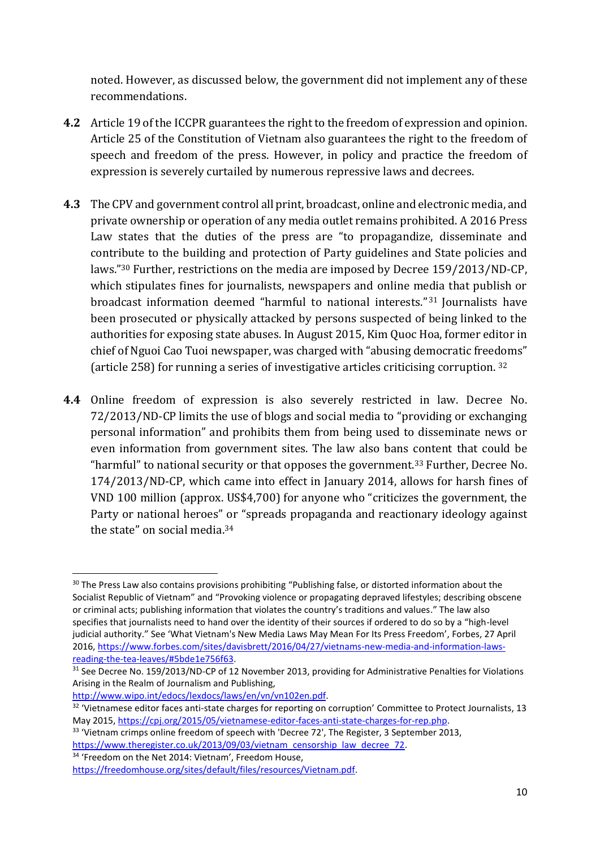noted. However, as discussed below, the government did not implement any of these recommendations.

- **4.2** Article 19 of the ICCPR guarantees the right to the freedom of expression and opinion. Article 25 of the Constitution of Vietnam also guarantees the right to the freedom of speech and freedom of the press. However, in policy and practice the freedom of expression is severely curtailed by numerous repressive laws and decrees.
- **4.3** The CPV and government control all print, broadcast, online and electronic media, and private ownership or operation of any media outlet remains prohibited. A 2016 Press Law states that the duties of the press are "to propagandize, disseminate and contribute to the building and protection of Party guidelines and State policies and laws." <sup>30</sup> Further, restrictions on the media are imposed by Decree 159/2013/ND-CP, which stipulates fines for journalists, newspapers and online media that publish or broadcast information deemed "harmful to national interests." <sup>31</sup> Journalists have been prosecuted or physically attacked by persons suspected of being linked to the authorities for exposing state abuses. In August 2015, Kim Quoc Hoa, former editor in chief of Nguoi Cao Tuoi newspaper, was charged with "abusing democratic freedoms" (article 258) for running a series of investigative articles criticising corruption. <sup>32</sup>
- **4.4** Online freedom of expression is also severely restricted in law. Decree No. 72/2013/ND-CP limits the use of blogs and social media to "providing or exchanging personal information" and prohibits them from being used to disseminate news or even information from government sites. The law also bans content that could be "harmful" to national security or that opposes the government.<sup>33</sup> Further, Decree No. 174/2013/ND-CP, which came into effect in January 2014, allows for harsh fines of VND 100 million (approx. US\$4,700) for anyone who "criticizes the government, the Party or national heroes" or "spreads propaganda and reactionary ideology against the state" on social media.<sup>34</sup>

[http://www.wipo.int/edocs/lexdocs/laws/en/vn/vn102en.pdf.](http://www.wipo.int/edocs/lexdocs/laws/en/vn/vn102en.pdf)

 $\overline{a}$ 

<sup>34</sup> 'Freedom on the Net 2014: Vietnam', Freedom House,

<sup>&</sup>lt;sup>30</sup> The Press Law also contains provisions prohibiting "Publishing false, or distorted information about the Socialist Republic of Vietnam" and "Provoking violence or propagating depraved lifestyles; describing obscene or criminal acts; publishing information that violates the country's traditions and values." The law also specifies that journalists need to hand over the identity of their sources if ordered to do so by a "high-level judicial authority." See 'What Vietnam's New Media Laws May Mean For Its Press Freedom', Forbes, 27 April 2016, [https://www.forbes.com/sites/davisbrett/2016/04/27/vietnams-new-media-and-information-laws](https://www.forbes.com/sites/davisbrett/2016/04/27/vietnams-new-media-and-information-laws-reading-the-tea-leaves/#5bde1e756f63)[reading-the-tea-leaves/#5bde1e756f63.](https://www.forbes.com/sites/davisbrett/2016/04/27/vietnams-new-media-and-information-laws-reading-the-tea-leaves/#5bde1e756f63)

<sup>&</sup>lt;sup>31</sup> See Decree No. 159/2013/ND-CP of 12 November 2013, providing for Administrative Penalties for Violations Arising in the Realm of Journalism and Publishing,

<sup>&</sup>lt;sup>32</sup> 'Vietnamese editor faces anti-state charges for reporting on corruption' Committee to Protect Journalists, 13 May 2015, [https://cpj.org/2015/05/vietnamese-editor-faces-anti-state-charges-for-rep.php.](https://cpj.org/2015/05/vietnamese-editor-faces-anti-state-charges-for-rep.php)

<sup>&</sup>lt;sup>33</sup> 'Vietnam crimps online freedom of speech with 'Decree 72', The Register, 3 September 2013, [https://www.theregister.co.uk/2013/09/03/vietnam\\_censorship\\_law\\_decree\\_72.](https://www.theregister.co.uk/2013/09/03/vietnam_censorship_law_decree_72/)

[https://freedomhouse.org/sites/default/files/resources/Vietnam.pdf.](https://freedomhouse.org/sites/default/files/resources/Vietnam.pdf)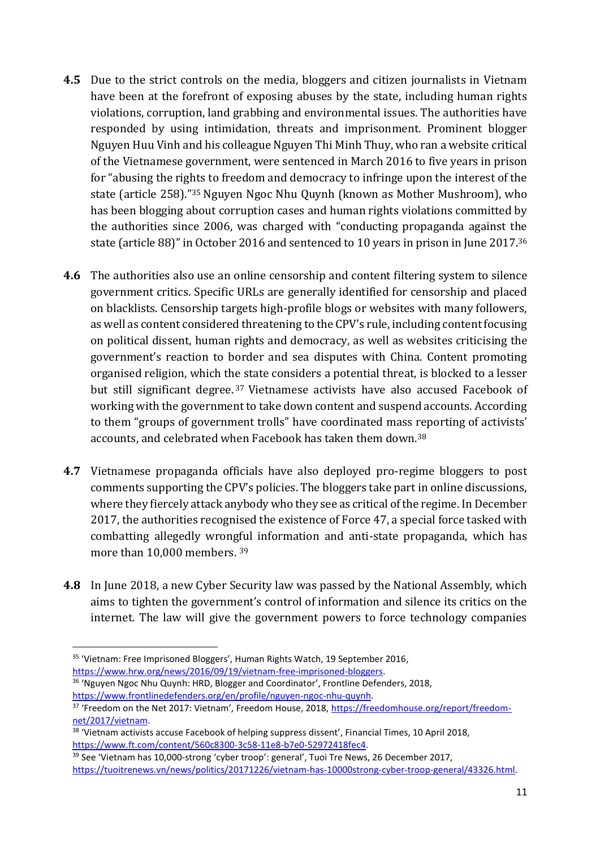- **4.5** Due to the strict controls on the media, bloggers and citizen journalists in Vietnam have been at the forefront of exposing abuses by the state, including human rights violations, corruption, land grabbing and environmental issues. The authorities have responded by using intimidation, threats and imprisonment. Prominent blogger Nguyen Huu Vinh and his colleague Nguyen Thi Minh Thuy, who ran a website critical of the Vietnamese government, were sentenced in March 2016 to five years in prison for "abusing the rights to freedom and democracy to infringe upon the interest of the state (article 258)." <sup>35</sup> Nguyen Ngoc Nhu Quynh (known as Mother Mushroom), who has been blogging about corruption cases and human rights violations committed by the authorities since 2006, was charged with "conducting propaganda against the state (article 88)" in October 2016 and sentenced to 10 years in prison in June 2017.<sup>36</sup>
- **4.6** The authorities also use an online censorship and content filtering system to silence government critics. Specific URLs are generally identified for censorship and placed on blacklists. Censorship targets high-profile blogs or websites with many followers, as well as content considered threatening to the CPV's rule, including content focusing on political dissent, human rights and democracy, as well as websites criticising the government's reaction to border and sea disputes with China. Content promoting organised religion, which the state considers a potential threat, is blocked to a lesser but still significant degree. <sup>37</sup> Vietnamese activists have also accused Facebook of working with the government to take down content and suspend accounts. According to them "groups of government trolls" have coordinated mass reporting of activists' accounts, and celebrated when Facebook has taken them down.<sup>38</sup>
- **4.7** Vietnamese propaganda officials have also deployed pro-regime bloggers to post comments supporting the CPV's policies. The bloggers take part in online discussions, where they fiercely attack anybody who they see as critical of the regime. In December 2017, the authorities recognised the existence of Force 47, a special force tasked with combatting allegedly wrongful information and anti-state propaganda, which has more than 10,000 members. <sup>39</sup>
- **4.8** In June 2018, a new Cyber Security law was passed by the National Assembly, which aims to tighten the government's control of information and silence its critics on the internet. The law will give the government powers to force technology companies

**<sup>.</sup>** <sup>35</sup> 'Vietnam: Free Imprisoned Bloggers', Human Rights Watch, 19 September 2016, [https://www.hrw.org/news/2016/09/19/vietnam-free-imprisoned-bloggers.](https://www.hrw.org/news/2016/09/19/vietnam-free-imprisoned-bloggers)

<sup>&</sup>lt;sup>36</sup> 'Nguyen Ngoc Nhu Quynh: HRD, Blogger and Coordinator', Frontline Defenders, 2018, [https://www.frontlinedefenders.org/en/profile/nguyen-ngoc-nhu-quynh.](https://www.frontlinedefenders.org/en/profile/nguyen-ngoc-nhu-quynh)

<sup>&</sup>lt;sup>37</sup> 'Freedom on the Net 2017: Vietnam', Freedom House, 2018, [https://freedomhouse.org/report/freedom](https://freedomhouse.org/report/freedom-net/2017/vietnam)[net/2017/vietnam.](https://freedomhouse.org/report/freedom-net/2017/vietnam)

<sup>&</sup>lt;sup>38</sup> 'Vietnam activists accuse Facebook of helping suppress dissent', Financial Times, 10 April 2018, [https://www.ft.com/content/560c8300-3c58-11e8-b7e0-52972418fec4.](https://www.ft.com/content/560c8300-3c58-11e8-b7e0-52972418fec4)

<sup>&</sup>lt;sup>39</sup> See 'Vietnam has 10,000-strong 'cyber troop': general', Tuoi Tre News, 26 December 2017, [https://tuoitrenews.vn/news/politics/20171226/vietnam-has-10000strong-cyber-troop-general/43326.html.](https://tuoitrenews.vn/news/politics/20171226/vietnam-has-10000strong-cyber-troop-general/43326.html)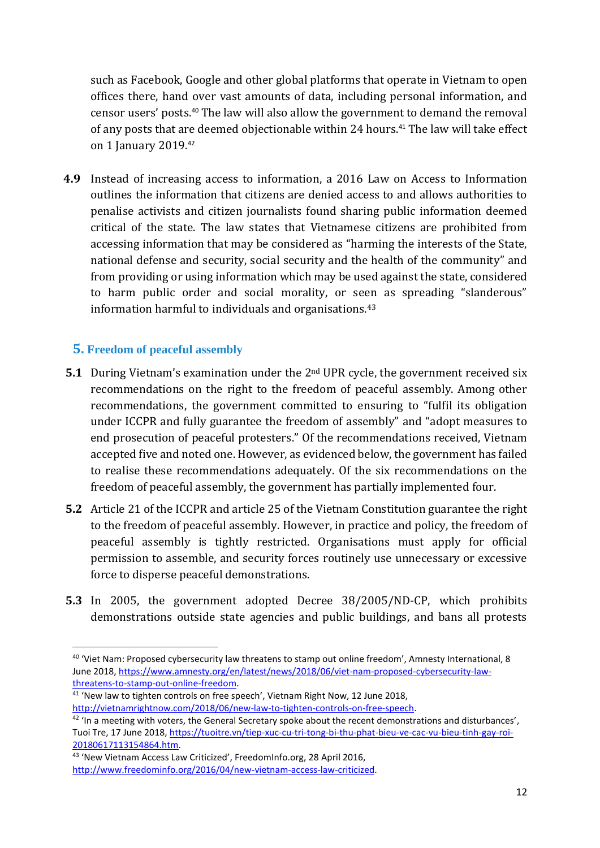such as Facebook, Google and other global platforms that operate in Vietnam to open offices there, hand over vast amounts of data, including personal information, and censor users' posts. <sup>40</sup> The law will also allow the government to demand the removal of any posts that are deemed objectionable within 24 hours.<sup>41</sup> The law will take effect on 1 January 2019.<sup>42</sup>

**4.9** Instead of increasing access to information, a 2016 Law on Access to Information outlines the information that citizens are denied access to and allows authorities to penalise activists and citizen journalists found sharing public information deemed critical of the state. The law states that Vietnamese citizens are prohibited from accessing information that may be considered as "harming the interests of the State, national defense and security, social security and the health of the community" and from providing or using information which may be used against the state, considered to harm public order and social morality, or seen as spreading "slanderous" information harmful to individuals and organisations.<sup>43</sup>

#### **5. Freedom of peaceful assembly**

- **5.1** During Vietnam's examination under the 2<sup>nd</sup> UPR cycle, the government received six recommendations on the right to the freedom of peaceful assembly. Among other recommendations, the government committed to ensuring to "fulfil its obligation under ICCPR and fully guarantee the freedom of assembly" and "adopt measures to end prosecution of peaceful protesters." Of the recommendations received, Vietnam accepted five and noted one. However, as evidenced below, the government has failed to realise these recommendations adequately. Of the six recommendations on the freedom of peaceful assembly, the government has partially implemented four.
- **5.2** Article 21 of the ICCPR and article 25 of the Vietnam Constitution guarantee the right to the freedom of peaceful assembly. However, in practice and policy, the freedom of peaceful assembly is tightly restricted. Organisations must apply for official permission to assemble, and security forces routinely use unnecessary or excessive force to disperse peaceful demonstrations.
- **5.3** In 2005, the government adopted Decree 38/2005/ND-CP, which prohibits demonstrations outside state agencies and public buildings, and bans all protests

<sup>40</sup> 'Viet Nam: Proposed cybersecurity law threatens to stamp out online freedom', Amnesty International, 8 June 2018, [https://www.amnesty.org/en/latest/news/2018/06/viet-nam-proposed-cybersecurity-law](https://www.amnesty.org/en/latest/news/2018/06/viet-nam-proposed-cybersecurity-law-threatens-to-stamp-out-online-freedom/)[threatens-to-stamp-out-online-freedom.](https://www.amnesty.org/en/latest/news/2018/06/viet-nam-proposed-cybersecurity-law-threatens-to-stamp-out-online-freedom/)

 $41$  'New law to tighten controls on free speech', Vietnam Right Now, 12 June 2018, [http://vietnamrightnow.com/2018/06/new-law-to-tighten-controls-on-free-speech.](http://vietnamrightnow.com/2018/06/new-law-to-tighten-controls-on-free-speech/)

<sup>&</sup>lt;sup>42</sup> 'In a meeting with voters, the General Secretary spoke about the recent demonstrations and disturbances', Tuoi Tre, 17 June 2018[, https://tuoitre.vn/tiep-xuc-cu-tri-tong-bi-thu-phat-bieu-ve-cac-vu-bieu-tinh-gay-roi-](https://tuoitre.vn/tiep-xuc-cu-tri-tong-bi-thu-phat-bieu-ve-cac-vu-bieu-tinh-gay-roi-20180617113154864.htm)[20180617113154864.htm.](https://tuoitre.vn/tiep-xuc-cu-tri-tong-bi-thu-phat-bieu-ve-cac-vu-bieu-tinh-gay-roi-20180617113154864.htm)

<sup>43</sup> 'New Vietnam Access Law Criticized', FreedomInfo.org, 28 April 2016, [http://www.freedominfo.org/2016/04/new-vietnam-access-law-criticized.](http://www.freedominfo.org/2016/04/new-vietnam-access-law-criticized/)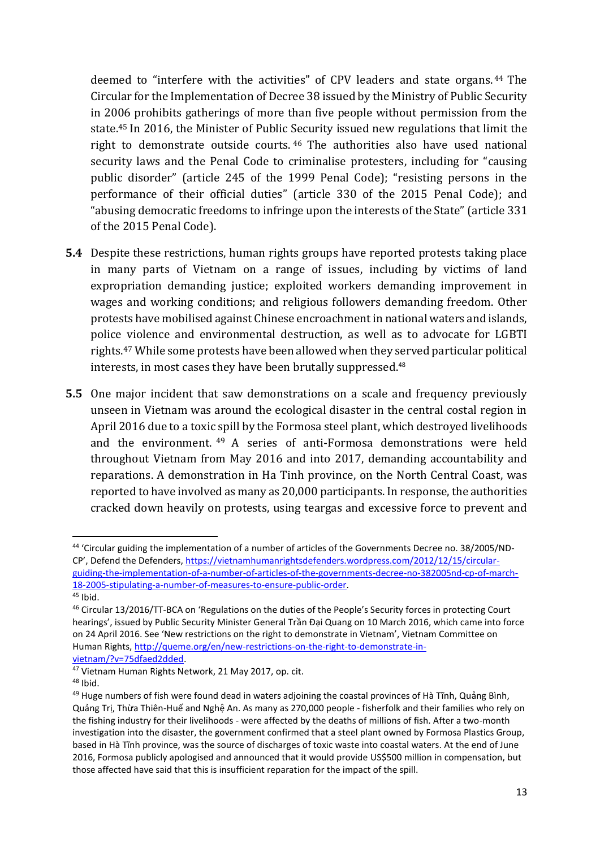deemed to "interfere with the activities" of CPV leaders and state organs. <sup>44</sup> The Circular for the Implementation of Decree 38 issued by the Ministry of Public Security in 2006 prohibits gatherings of more than five people without permission from the state.<sup>45</sup> In 2016, the Minister of Public Security issued new regulations that limit the right to demonstrate outside courts. <sup>46</sup> The authorities also have used national security laws and the Penal Code to criminalise protesters, including for "causing public disorder" (article 245 of the 1999 Penal Code); "resisting persons in the performance of their official duties" (article 330 of the 2015 Penal Code); and "abusing democratic freedoms to infringe upon the interests of the State" (article 331 of the 2015 Penal Code).

- **5.4** Despite these restrictions, human rights groups have reported protests taking place in many parts of Vietnam on a range of issues, including by victims of land expropriation demanding justice; exploited workers demanding improvement in wages and working conditions; and religious followers demanding freedom. Other protests have mobilised against Chinese encroachment in national waters and islands, police violence and environmental destruction, as well as to advocate for LGBTI rights. <sup>47</sup> While some protests have been allowed when they served particular political interests, in most cases they have been brutally suppressed.<sup>48</sup>
- **5.5** One major incident that saw demonstrations on a scale and frequency previously unseen in Vietnam was around the ecological disaster in the central costal region in April 2016 due to a toxic spill by the Formosa steel plant, which destroyed livelihoods and the environment. <sup>49</sup> A series of anti-Formosa demonstrations were held throughout Vietnam from May 2016 and into 2017, demanding accountability and reparations. A demonstration in Ha Tinh province, on the North Central Coast, was reported to have involved as many as 20,000 participants. In response, the authorities cracked down heavily on protests, using teargas and excessive force to prevent and

<sup>&</sup>lt;sup>44</sup> 'Circular guiding the implementation of a number of articles of the Governments Decree no. 38/2005/ND-CP', Defend the Defenders, [https://vietnamhumanrightsdefenders.wordpress.com/2012/12/15/circular](https://vietnamhumanrightsdefenders.wordpress.com/2012/12/15/circular-guiding-the-implementation-of-a-number-of-articles-of-the-governments-decree-no-382005nd-cp-of-march-18-2005-stipulating-a-number-of-measures-to-ensure-public-order/)[guiding-the-implementation-of-a-number-of-articles-of-the-governments-decree-no-382005nd-cp-of-march-](https://vietnamhumanrightsdefenders.wordpress.com/2012/12/15/circular-guiding-the-implementation-of-a-number-of-articles-of-the-governments-decree-no-382005nd-cp-of-march-18-2005-stipulating-a-number-of-measures-to-ensure-public-order/)[18-2005-stipulating-a-number-of-measures-to-ensure-public-order.](https://vietnamhumanrightsdefenders.wordpress.com/2012/12/15/circular-guiding-the-implementation-of-a-number-of-articles-of-the-governments-decree-no-382005nd-cp-of-march-18-2005-stipulating-a-number-of-measures-to-ensure-public-order/) <sup>45</sup> Ibid.

<sup>46</sup> Circular 13/2016/TT-BCA on 'Regulations on the duties of the People's Security forces in protecting Court hearings', issued by Public Security Minister General Trần Đại Quang on 10 March 2016, which came into force on 24 April 2016. See 'New restrictions on the right to demonstrate in Vietnam', Vietnam Committee on Human Rights[, http://queme.org/en/new-restrictions-on-the-right-to-demonstrate-in](http://queme.org/en/new-restrictions-on-the-right-to-demonstrate-in-vietnam/?v=75dfaed2dded)[vietnam/?v=75dfaed2dded.](http://queme.org/en/new-restrictions-on-the-right-to-demonstrate-in-vietnam/?v=75dfaed2dded)

<sup>47</sup> Vietnam Human Rights Network, 21 May 2017, op. cit.

<sup>48</sup> Ibid.

 $49$  Huge numbers of fish were found dead in waters adjoining the coastal provinces of Hà Tĩnh, Quảng Bình, Quảng Trị, Thừa Thiên-Huế and Nghệ An. As many as 270,000 people - fisherfolk and their families who rely on the fishing industry for their livelihoods - were affected by the deaths of millions of fish. After a two-month investigation into the disaster, the government confirmed that a steel plant owned by Formosa Plastics Group, based in Hà Tĩnh province, was the source of discharges of toxic waste into coastal waters. At the end of June 2016, Formosa publicly apologised and announced that it would provide US\$500 million in compensation, but those affected have said that this is insufficient reparation for the impact of the spill.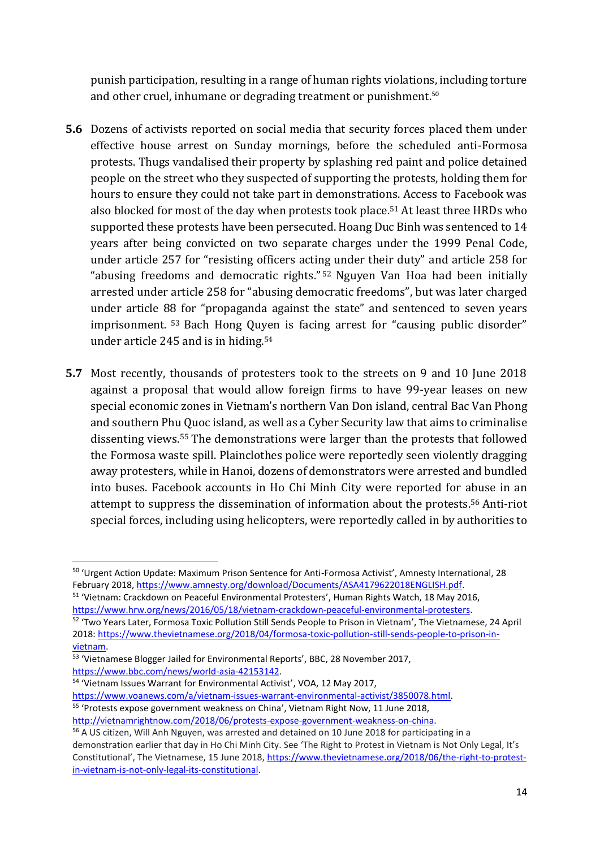punish participation, resulting in a range of human rights violations, including torture and other cruel, inhumane or degrading treatment or punishment.<sup>50</sup>

- **5.6** Dozens of activists reported on social media that security forces placed them under effective house arrest on Sunday mornings, before the scheduled anti-Formosa protests. Thugs vandalised their property by splashing red paint and police detained people on the street who they suspected of supporting the protests, holding them for hours to ensure they could not take part in demonstrations. Access to Facebook was also blocked for most of the day when protests took place. <sup>51</sup> At least three HRDs who supported these protests have been persecuted. Hoang Duc Binh was sentenced to 14 years after being convicted on two separate charges under the 1999 Penal Code, under article 257 for "resisting officers acting under their duty" and article 258 for "abusing freedoms and democratic rights." <sup>52</sup> Nguyen Van Hoa had been initially arrested under article 258 for "abusing democratic freedoms", but was later charged under article 88 for "propaganda against the state" and sentenced to seven years imprisonment. <sup>53</sup> Bach Hong Quyen is facing arrest for "causing public disorder" under article 245 and is in hiding. 54
- **5.7** Most recently, thousands of protesters took to the streets on 9 and 10 June 2018 against a proposal that would allow foreign firms to have 99-year leases on new special economic zones in Vietnam's northern Van Don island, central Bac Van Phong and southern Phu Quoc island, as well as a Cyber Security law that aims to criminalise dissenting views.<sup>55</sup> The demonstrations were larger than the protests that followed the Formosa waste spill. Plainclothes police were reportedly seen violently dragging away protesters, while in Hanoi, dozens of demonstrators were arrested and bundled into buses. Facebook accounts in Ho Chi Minh City were reported for abuse in an attempt to suppress the dissemination of information about the protests.<sup>56</sup> Anti-riot special forces, including using helicopters, were reportedly called in by authorities to

<sup>51</sup> 'Vietnam: Crackdown on Peaceful Environmental Protesters', Human Rights Watch, 18 May 2016, [https://www.hrw.org/news/2016/05/18/vietnam-crackdown-peaceful-environmental-protesters.](https://www.hrw.org/news/2016/05/18/vietnam-crackdown-peaceful-environmental-protesters)

<sup>52</sup> 'Two Years Later, Formosa Toxic Pollution Still Sends People to Prison in Vietnam', The Vietnamese, 24 April 2018: [https://www.thevietnamese.org/2018/04/formosa-toxic-pollution-still-sends-people-to-prison-in](https://www.thevietnamese.org/2018/04/formosa-toxic-pollution-still-sends-people-to-prison-in-vietnam/)[vietnam.](https://www.thevietnamese.org/2018/04/formosa-toxic-pollution-still-sends-people-to-prison-in-vietnam/)

<sup>54</sup> 'Vietnam Issues Warrant for Environmental Activist', VOA, 12 May 2017,

<sup>50</sup> 'Urgent Action Update: Maximum Prison Sentence for Anti-Formosa Activist', Amnesty International, 28 February 2018[, https://www.amnesty.org/download/Documents/ASA4179622018ENGLISH.pdf.](https://www.amnesty.org/download/Documents/ASA4179622018ENGLISH.pdf)

<sup>53 &#</sup>x27;Vietnamese Blogger Jailed for Environmental Reports', BBC, 28 November 2017, [https://www.bbc.com/news/world-asia-42153142.](https://www.bbc.com/news/world-asia-42153142)

[https://www.voanews.com/a/vietnam-issues-warrant-environmental-activist/3850078.html.](https://www.voanews.com/a/vietnam-issues-warrant-environmental-activist/3850078.html) 55 'Protests expose government weakness on China', Vietnam Right Now, 11 June 2018, [http://vietnamrightnow.com/2018/06/protests-expose-government-weakness-on-china.](http://vietnamrightnow.com/2018/06/protests-expose-government-weakness-on-china)

<sup>&</sup>lt;sup>56</sup> A US citizen, Will Anh Nguyen, was arrested and detained on 10 June 2018 for participating in a demonstration earlier that day in Ho Chi Minh City. See 'The Right to Protest in Vietnam is Not Only Legal, It's Constitutional', The Vietnamese, 15 June 2018, [https://www.thevietnamese.org/2018/06/the-right-to-protest](https://www.thevietnamese.org/2018/06/the-right-to-protest-in-vietnam-is-not-only-legal-its-constitutional/)[in-vietnam-is-not-only-legal-its-constitutional.](https://www.thevietnamese.org/2018/06/the-right-to-protest-in-vietnam-is-not-only-legal-its-constitutional/)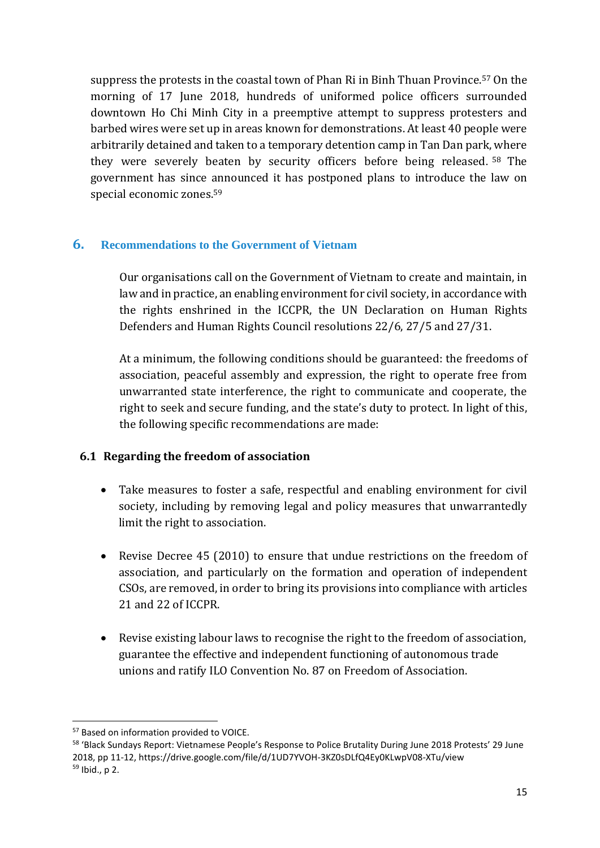suppress the protests in the coastal town of Phan Ri in Binh Thuan Province. <sup>57</sup> On the morning of 17 June 2018, hundreds of uniformed police officers surrounded downtown Ho Chi Minh City in a preemptive attempt to suppress protesters and barbed wires were set up in areas known for demonstrations. At least 40 people were arbitrarily detained and taken to a temporary detention camp in Tan Dan park, where they were severely beaten by security officers before being released. <sup>58</sup> The government has since announced it has postponed plans to introduce the law on special economic zones. 59

## **6. Recommendations to the Government of Vietnam**

Our organisations call on the Government of Vietnam to create and maintain, in law and in practice, an enabling environment for civil society, in accordance with the rights enshrined in the ICCPR, the UN Declaration on Human Rights Defenders and Human Rights Council resolutions 22/6, 27/5 and 27/31.

At a minimum, the following conditions should be guaranteed: the freedoms of association, peaceful assembly and expression, the right to operate free from unwarranted state interference, the right to communicate and cooperate, the right to seek and secure funding, and the state's duty to protect. In light of this, the following specific recommendations are made:

#### **6.1 Regarding the freedom of association**

- Take measures to foster a safe, respectful and enabling environment for civil society, including by removing legal and policy measures that unwarrantedly limit the right to association.
- Revise Decree 45 (2010) to ensure that undue restrictions on the freedom of association, and particularly on the formation and operation of independent CSOs, are removed, in order to bring its provisions into compliance with articles 21 and 22 of ICCPR.
- Revise existing labour laws to recognise the right to the freedom of association, guarantee the effective and independent functioning of autonomous trade unions and ratify ILO Convention No. 87 on Freedom of Association.

<sup>1</sup> <sup>57</sup> Based on information provided to VOICE.

<sup>58</sup> 'Black Sundays Report: Vietnamese People's Response to Police Brutality During June 2018 Protests' 29 June 2018, pp 11-12, https://drive.google.com/file/d/1UD7YVOH-3KZ0sDLfQ4Ey0KLwpV08-XTu/view  $59$  Ibid., p 2.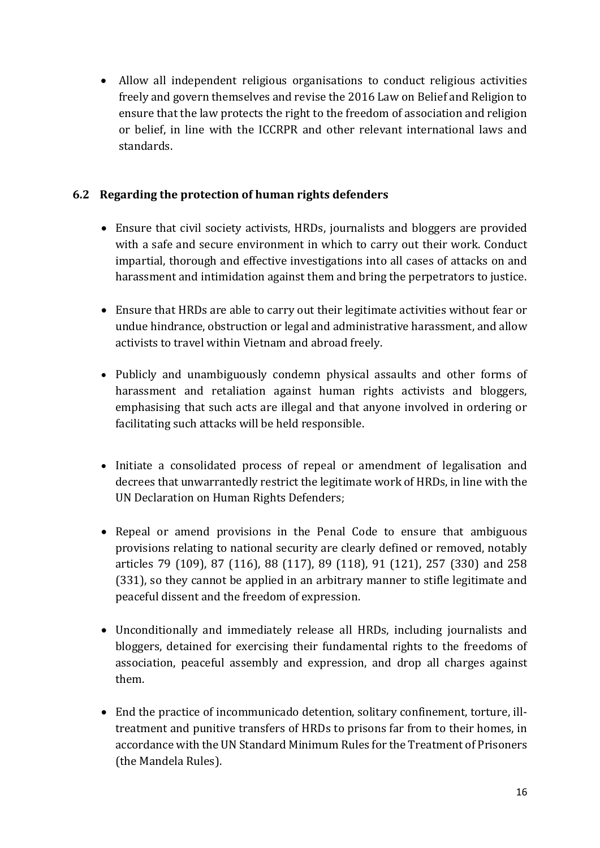Allow all independent religious organisations to conduct religious activities freely and govern themselves and revise the 2016 Law on Belief and Religion to ensure that the law protects the right to the freedom of association and religion or belief, in line with the ICCRPR and other relevant international laws and standards.

# **6.2 Regarding the protection of human rights defenders**

- Ensure that civil society activists, HRDs, journalists and bloggers are provided with a safe and secure environment in which to carry out their work. Conduct impartial, thorough and effective investigations into all cases of attacks on and harassment and intimidation against them and bring the perpetrators to justice.
- Ensure that HRDs are able to carry out their legitimate activities without fear or undue hindrance, obstruction or legal and administrative harassment, and allow activists to travel within Vietnam and abroad freely.
- Publicly and unambiguously condemn physical assaults and other forms of harassment and retaliation against human rights activists and bloggers, emphasising that such acts are illegal and that anyone involved in ordering or facilitating such attacks will be held responsible.
- Initiate a consolidated process of repeal or amendment of legalisation and decrees that unwarrantedly restrict the legitimate work of HRDs, in line with the UN Declaration on Human Rights Defenders;
- Repeal or amend provisions in the Penal Code to ensure that ambiguous provisions relating to national security are clearly defined or removed, notably articles 79 (109), 87 (116), 88 (117), 89 (118), 91 (121), 257 (330) and 258 (331), so they cannot be applied in an arbitrary manner to stifle legitimate and peaceful dissent and the freedom of expression.
- Unconditionally and immediately release all HRDs, including journalists and bloggers, detained for exercising their fundamental rights to the freedoms of association, peaceful assembly and expression, and drop all charges against them.
- End the practice of incommunicado detention, solitary confinement, torture, illtreatment and punitive transfers of HRDs to prisons far from to their homes, in accordance with the UN Standard Minimum Rules for the Treatment of Prisoners (the Mandela Rules).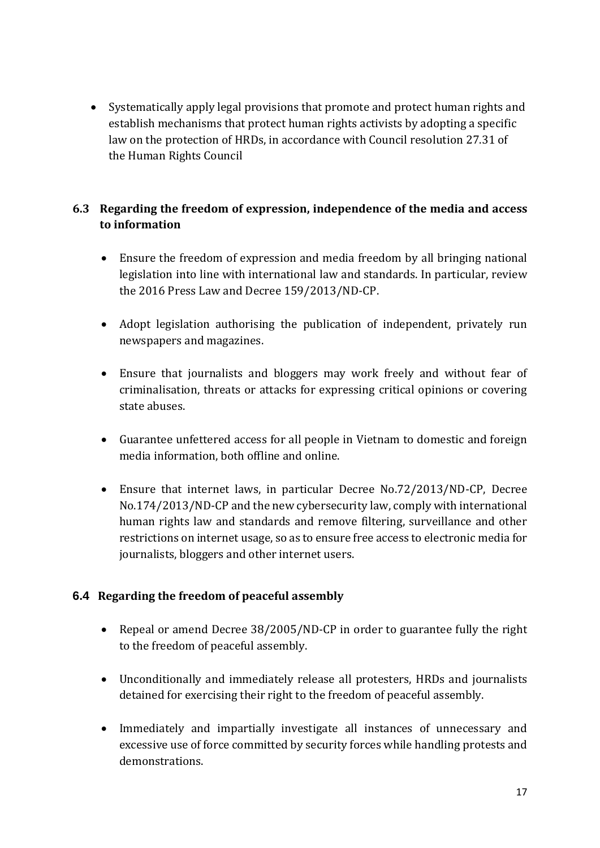Systematically apply legal provisions that promote and protect human rights and establish mechanisms that protect human rights activists by adopting a specific law on the protection of HRDs, in accordance with Council resolution 27.31 of the Human Rights Council

# **6.3 Regarding the freedom of expression, independence of the media and access to information**

- Ensure the freedom of expression and media freedom by all bringing national legislation into line with international law and standards. In particular, review the 2016 Press Law and Decree 159/2013/ND-CP.
- Adopt legislation authorising the publication of independent, privately run newspapers and magazines.
- Ensure that journalists and bloggers may work freely and without fear of criminalisation, threats or attacks for expressing critical opinions or covering state abuses.
- Guarantee unfettered access for all people in Vietnam to domestic and foreign media information, both offline and online.
- Ensure that internet laws, in particular Decree No.72/2013/ND-CP, Decree No.174/2013/ND-CP and the new cybersecurity law, comply with international human rights law and standards and remove filtering, surveillance and other restrictions on internet usage, so as to ensure free access to electronic media for journalists, bloggers and other internet users.

# **6.4 Regarding the freedom of peaceful assembly**

- Repeal or amend Decree 38/2005/ND-CP in order to guarantee fully the right to the freedom of peaceful assembly.
- Unconditionally and immediately release all protesters, HRDs and journalists detained for exercising their right to the freedom of peaceful assembly.
- Immediately and impartially investigate all instances of unnecessary and excessive use of force committed by security forces while handling protests and demonstrations.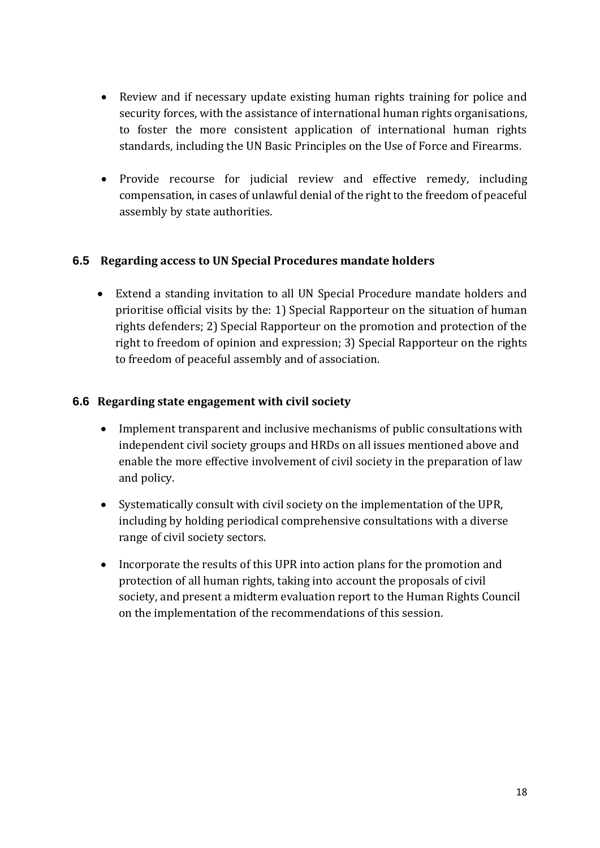- Review and if necessary update existing human rights training for police and security forces, with the assistance of international human rights organisations, to foster the more consistent application of international human rights standards, including the UN Basic Principles on the Use of Force and Firearms.
- Provide recourse for judicial review and effective remedy, including compensation, in cases of unlawful denial of the right to the freedom of peaceful assembly by state authorities.

#### **6.5 Regarding access to UN Special Procedures mandate holders**

 Extend a standing invitation to all UN Special Procedure mandate holders and prioritise official visits by the: 1) Special Rapporteur on the situation of human rights defenders; 2) Special Rapporteur on the promotion and protection of the right to freedom of opinion and expression; 3) Special Rapporteur on the rights to freedom of peaceful assembly and of association.

#### **6.6 Regarding state engagement with civil society**

- Implement transparent and inclusive mechanisms of public consultations with independent civil society groups and HRDs on all issues mentioned above and enable the more effective involvement of civil society in the preparation of law and policy.
- Systematically consult with civil society on the implementation of the UPR, including by holding periodical comprehensive consultations with a diverse range of civil society sectors.
- Incorporate the results of this UPR into action plans for the promotion and protection of all human rights, taking into account the proposals of civil society, and present a midterm evaluation report to the Human Rights Council on the implementation of the recommendations of this session.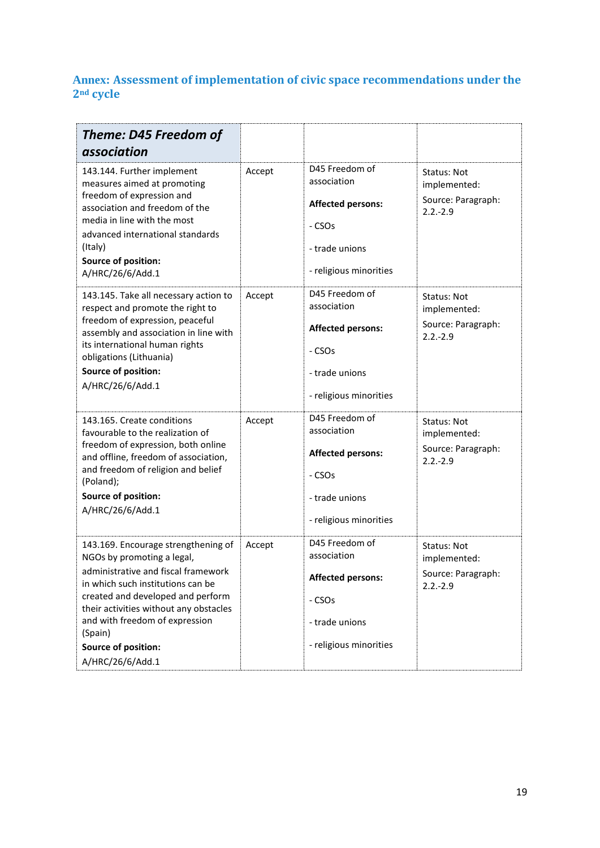# **Annex: Assessment of implementation of civic space recommendations under the 2nd cycle**

| Theme: D45 Freedom of<br>association                                                                                                                                                                                                                                                                                 |        |                                                                                                                             |                                                                         |
|----------------------------------------------------------------------------------------------------------------------------------------------------------------------------------------------------------------------------------------------------------------------------------------------------------------------|--------|-----------------------------------------------------------------------------------------------------------------------------|-------------------------------------------------------------------------|
| 143.144. Further implement<br>measures aimed at promoting<br>freedom of expression and<br>association and freedom of the<br>media in line with the most<br>advanced international standards<br>(Italy)<br>Source of position:<br>A/HRC/26/6/Add.1                                                                    | Accept | D45 Freedom of<br>association<br><b>Affected persons:</b><br>- CSOs<br>- trade unions<br>- religious minorities             | Status: Not<br>implemented:<br>Source: Paragraph:<br>$2.2 - 2.9$        |
| 143.145. Take all necessary action to<br>respect and promote the right to<br>freedom of expression, peaceful<br>assembly and association in line with<br>its international human rights<br>obligations (Lithuania)<br><b>Source of position:</b><br>A/HRC/26/6/Add.1                                                 | Accept | D45 Freedom of<br>association<br><b>Affected persons:</b><br>- CSOs<br>- trade unions<br>- religious minorities             | <b>Status: Not</b><br>implemented:<br>Source: Paragraph:<br>$2.2 - 2.9$ |
| 143.165. Create conditions<br>favourable to the realization of<br>freedom of expression, both online<br>and offline, freedom of association,<br>and freedom of religion and belief<br>(Poland);<br><b>Source of position:</b><br>A/HRC/26/6/Add.1                                                                    | Accept | D45 Freedom of<br>association<br><b>Affected persons:</b><br>- CSO <sub>S</sub><br>- trade unions<br>- religious minorities | Status: Not<br>implemented:<br>Source: Paragraph:<br>$2.2.-2.9$         |
| 143.169. Encourage strengthening of<br>NGOs by promoting a legal,<br>administrative and fiscal framework<br>in which such institutions can be<br>created and developed and perform<br>their activities without any obstacles<br>and with freedom of expression<br>(Spain)<br>Source of position:<br>A/HRC/26/6/Add.1 | Accept | D45 Freedom of<br>association<br><b>Affected persons:</b><br>- CSOs<br>- trade unions<br>- religious minorities             | Status: Not<br>implemented:<br>Source: Paragraph:<br>$2.2 - 2.9$        |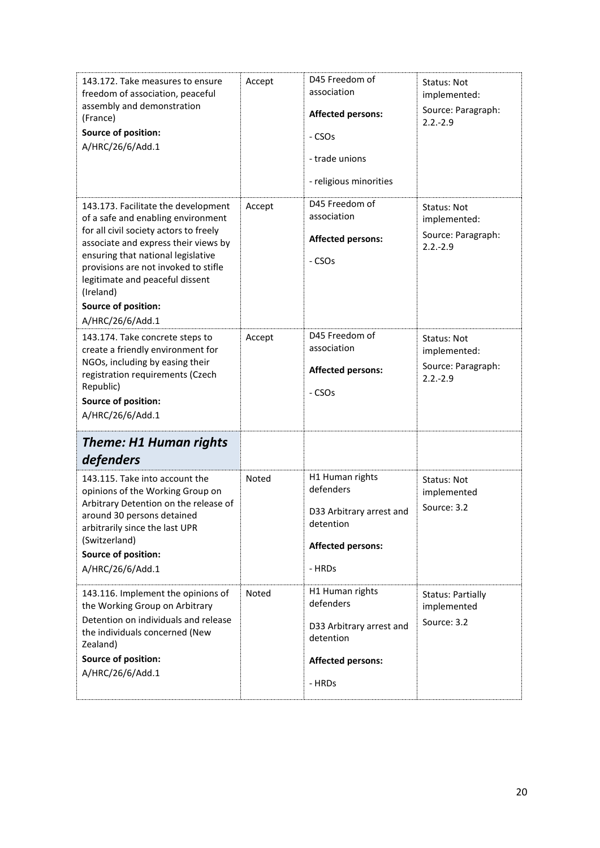| 143.172. Take measures to ensure<br>freedom of association, peaceful<br>assembly and demonstration<br>(France)<br>Source of position:<br>A/HRC/26/6/Add.1                                                                                                                                                                            | Accept | D45 Freedom of<br>association<br><b>Affected persons:</b><br>- CSOs<br>- trade unions<br>- religious minorities | Status: Not<br>implemented:<br>Source: Paragraph:<br>$2.2 - 2.9$ |
|--------------------------------------------------------------------------------------------------------------------------------------------------------------------------------------------------------------------------------------------------------------------------------------------------------------------------------------|--------|-----------------------------------------------------------------------------------------------------------------|------------------------------------------------------------------|
| 143.173. Facilitate the development<br>of a safe and enabling environment<br>for all civil society actors to freely<br>associate and express their views by<br>ensuring that national legislative<br>provisions are not invoked to stifle<br>legitimate and peaceful dissent<br>(Ireland)<br>Source of position:<br>A/HRC/26/6/Add.1 | Accept | D45 Freedom of<br>association<br><b>Affected persons:</b><br>- CSO <sub>S</sub>                                 | Status: Not<br>implemented:<br>Source: Paragraph:<br>$2.2 - 2.9$ |
| 143.174. Take concrete steps to<br>create a friendly environment for<br>NGOs, including by easing their<br>registration requirements (Czech<br>Republic)<br>Source of position:<br>A/HRC/26/6/Add.1                                                                                                                                  | Accept | D45 Freedom of<br>association<br><b>Affected persons:</b><br>- CSO <sub>S</sub>                                 | Status: Not<br>implemented:<br>Source: Paragraph:<br>$2.2 - 2.9$ |
| Theme: H1 Human rights<br>defenders                                                                                                                                                                                                                                                                                                  |        |                                                                                                                 |                                                                  |
| 143.115. Take into account the<br>opinions of the Working Group on<br>Arbitrary Detention on the release of<br>around 30 persons detained<br>arbitrarily since the last UPR<br>(Switzerland)<br>Source of position:<br>A/HRC/26/6/Add.1                                                                                              | Noted  | H1 Human rights<br>defenders<br>D33 Arbitrary arrest and<br>detention<br><b>Affected persons:</b><br>- HRDs     | Status: Not<br>implemented<br>Source: 3.2                        |
| 143.116. Implement the opinions of<br>the Working Group on Arbitrary<br>Detention on individuals and release<br>the individuals concerned (New<br>Zealand)<br>Source of position:<br>A/HRC/26/6/Add.1                                                                                                                                | Noted  | H1 Human rights<br>defenders<br>D33 Arbitrary arrest and<br>detention<br><b>Affected persons:</b><br>- HRDs     | <b>Status: Partially</b><br>implemented<br>Source: 3.2           |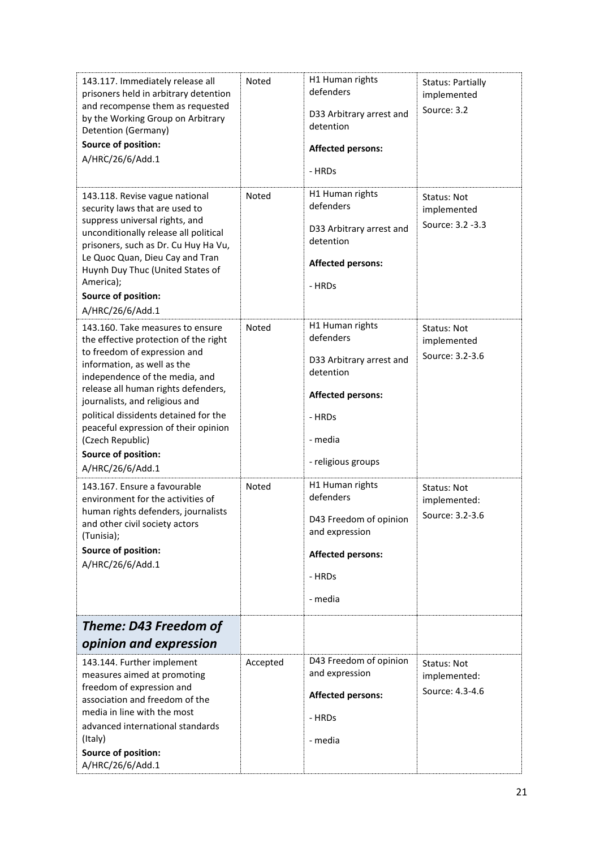| <b>Source of position:</b><br>A/HRC/26/6/Add.1<br>143.167. Ensure a favourable<br>environment for the activities of<br>human rights defenders, journalists<br>and other civil society actors<br>(Tunisia);<br><b>Source of position:</b><br>A/HRC/26/6/Add.1<br>Theme: D43 Freedom of<br>opinion and expression<br>143.144. Further implement<br>measures aimed at promoting<br>freedom of expression and<br>association and freedom of the | Noted<br>Accepted | - religious groups<br>H1 Human rights<br>defenders<br>D43 Freedom of opinion<br>and expression<br><b>Affected persons:</b><br>- HRDs<br>- media<br>D43 Freedom of opinion<br>and expression<br><b>Affected persons:</b> | Status: Not<br>implemented:<br>Source: 3.2-3.6<br>Status: Not<br>implemented:<br>Source: 4.3-4.6 |
|---------------------------------------------------------------------------------------------------------------------------------------------------------------------------------------------------------------------------------------------------------------------------------------------------------------------------------------------------------------------------------------------------------------------------------------------|-------------------|-------------------------------------------------------------------------------------------------------------------------------------------------------------------------------------------------------------------------|--------------------------------------------------------------------------------------------------|
| the effective protection of the right<br>to freedom of expression and<br>information, as well as the<br>independence of the media, and<br>release all human rights defenders,<br>journalists, and religious and<br>political dissidents detained for the<br>peaceful expression of their opinion<br>(Czech Republic)                                                                                                                        |                   | defenders<br>D33 Arbitrary arrest and<br>detention<br><b>Affected persons:</b><br>- HRDs<br>- media                                                                                                                     | implemented<br>Source: 3.2-3.6                                                                   |
| 143.118. Revise vague national<br>security laws that are used to<br>suppress universal rights, and<br>unconditionally release all political<br>prisoners, such as Dr. Cu Huy Ha Vu,<br>Le Quoc Quan, Dieu Cay and Tran<br>Huynh Duy Thuc (United States of<br>America);<br><b>Source of position:</b><br>A/HRC/26/6/Add.1<br>143.160. Take measures to ensure                                                                               | Noted<br>Noted    | H1 Human rights<br>defenders<br>D33 Arbitrary arrest and<br>detention<br><b>Affected persons:</b><br>- HRDs<br>H1 Human rights                                                                                          | Status: Not<br>implemented<br>Source: 3.2 -3.3<br>Status: Not                                    |
| 143.117. Immediately release all<br>prisoners held in arbitrary detention<br>and recompense them as requested<br>by the Working Group on Arbitrary<br>Detention (Germany)<br>Source of position:<br>A/HRC/26/6/Add.1                                                                                                                                                                                                                        | Noted             | H1 Human rights<br>defenders<br>D33 Arbitrary arrest and<br>detention<br><b>Affected persons:</b><br>- HRDs                                                                                                             | <b>Status: Partially</b><br>implemented<br>Source: 3.2                                           |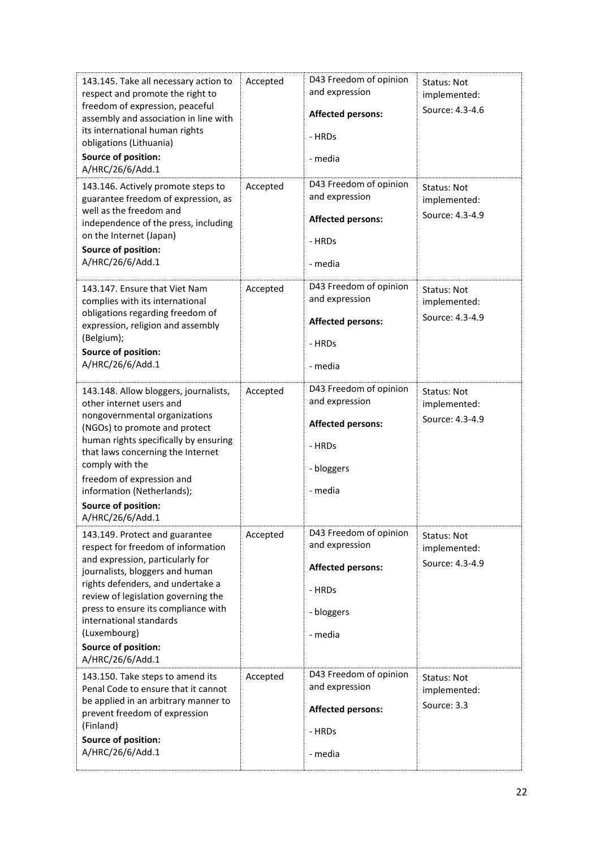| 143.145. Take all necessary action to<br>respect and promote the right to<br>freedom of expression, peaceful<br>assembly and association in line with<br>its international human rights<br>obligations (Lithuania)<br><b>Source of position:</b><br>A/HRC/26/6/Add.1                                                                                        | Accepted | D43 Freedom of opinion<br>and expression<br><b>Affected persons:</b><br>- HRDs<br>- media               | Status: Not<br>implemented:<br>Source: 4.3-4.6        |
|-------------------------------------------------------------------------------------------------------------------------------------------------------------------------------------------------------------------------------------------------------------------------------------------------------------------------------------------------------------|----------|---------------------------------------------------------------------------------------------------------|-------------------------------------------------------|
| 143.146. Actively promote steps to<br>guarantee freedom of expression, as<br>well as the freedom and<br>independence of the press, including<br>on the Internet (Japan)<br><b>Source of position:</b><br>A/HRC/26/6/Add.1                                                                                                                                   | Accepted | D43 Freedom of opinion<br>and expression<br><b>Affected persons:</b><br>- HRDs<br>- media               | Status: Not<br>implemented:<br>Source: 4.3-4.9        |
| 143.147. Ensure that Viet Nam<br>complies with its international<br>obligations regarding freedom of<br>expression, religion and assembly<br>(Belgium);<br>Source of position:<br>A/HRC/26/6/Add.1                                                                                                                                                          | Accepted | D43 Freedom of opinion<br>and expression<br><b>Affected persons:</b><br>- HRDs<br>- media               | <b>Status: Not</b><br>implemented:<br>Source: 4.3-4.9 |
| 143.148. Allow bloggers, journalists,<br>other internet users and<br>nongovernmental organizations<br>(NGOs) to promote and protect<br>human rights specifically by ensuring<br>that laws concerning the Internet<br>comply with the<br>freedom of expression and<br>information (Netherlands);<br>Source of position:<br>A/HRC/26/6/Add.1                  | Accepted | D43 Freedom of opinion<br>and expression<br><b>Affected persons:</b><br>- HRDs<br>- bloggers<br>- media | Status: Not<br>implemented:<br>Source: 4.3-4.9        |
| 143.149. Protect and guarantee<br>respect for freedom of information<br>and expression, particularly for<br>journalists, bloggers and human<br>rights defenders, and undertake a<br>review of legislation governing the<br>press to ensure its compliance with<br>international standards<br>(Luxembourg)<br><b>Source of position:</b><br>A/HRC/26/6/Add.1 | Accepted | D43 Freedom of opinion<br>and expression<br><b>Affected persons:</b><br>- HRDs<br>- bloggers<br>- media | Status: Not<br>implemented:<br>Source: 4.3-4.9        |
| 143.150. Take steps to amend its<br>Penal Code to ensure that it cannot<br>be applied in an arbitrary manner to<br>prevent freedom of expression<br>(Finland)<br>Source of position:<br>A/HRC/26/6/Add.1                                                                                                                                                    | Accepted | D43 Freedom of opinion<br>and expression<br><b>Affected persons:</b><br>- HRDs<br>- media               | Status: Not<br>implemented:<br>Source: 3.3            |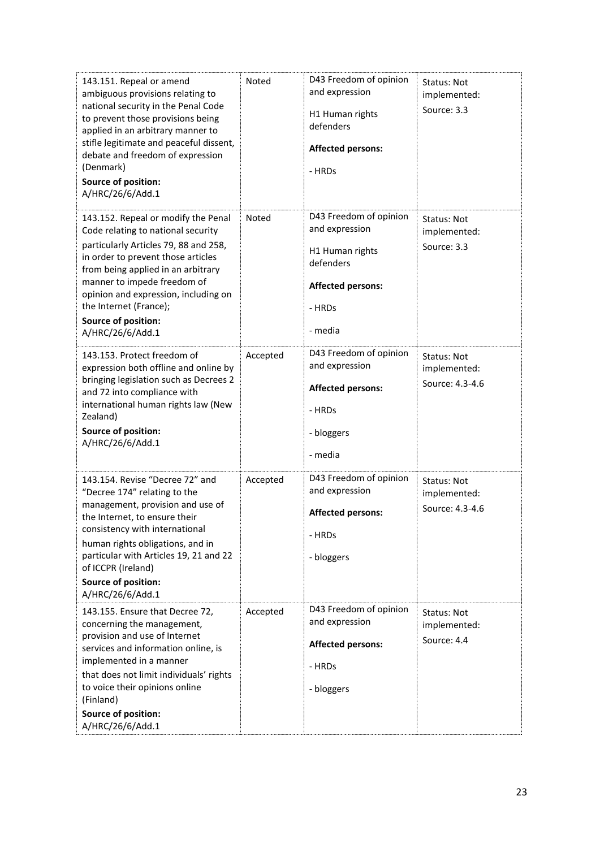| 143.151. Repeal or amend<br>ambiguous provisions relating to<br>national security in the Penal Code<br>to prevent those provisions being<br>applied in an arbitrary manner to<br>stifle legitimate and peaceful dissent,<br>debate and freedom of expression<br>(Denmark)<br>Source of position:<br>A/HRC/26/6/Add.1                       | Noted    | D43 Freedom of opinion<br>and expression<br>H1 Human rights<br>defenders<br><b>Affected persons:</b><br>- HRDs            | Status: Not<br>implemented:<br>Source: 3.3     |
|--------------------------------------------------------------------------------------------------------------------------------------------------------------------------------------------------------------------------------------------------------------------------------------------------------------------------------------------|----------|---------------------------------------------------------------------------------------------------------------------------|------------------------------------------------|
| 143.152. Repeal or modify the Penal<br>Code relating to national security<br>particularly Articles 79, 88 and 258,<br>in order to prevent those articles<br>from being applied in an arbitrary<br>manner to impede freedom of<br>opinion and expression, including on<br>the Internet (France);<br>Source of position:<br>A/HRC/26/6/Add.1 | Noted    | D43 Freedom of opinion<br>and expression<br>H1 Human rights<br>defenders<br><b>Affected persons:</b><br>- HRDs<br>- media | Status: Not<br>implemented:<br>Source: 3.3     |
| 143.153. Protect freedom of<br>expression both offline and online by<br>bringing legislation such as Decrees 2<br>and 72 into compliance with<br>international human rights law (New<br>Zealand)<br>Source of position:<br>A/HRC/26/6/Add.1                                                                                                | Accepted | D43 Freedom of opinion<br>and expression<br><b>Affected persons:</b><br>- HRDs<br>- bloggers<br>- media                   | Status: Not<br>implemented:<br>Source: 4.3-4.6 |
| 143.154. Revise "Decree 72" and<br>"Decree 174" relating to the<br>management, provision and use of<br>the Internet, to ensure their<br>consistency with international<br>human rights obligations, and in<br>particular with Articles 19, 21 and 22<br>of ICCPR (Ireland)<br>Source of position:<br>A/HRC/26/6/Add.1                      | Accepted | D43 Freedom of opinion<br>and expression<br><b>Affected persons:</b><br>- HRDs<br>- bloggers                              | Status: Not<br>implemented:<br>Source: 4.3-4.6 |
| 143.155. Ensure that Decree 72,<br>concerning the management,<br>provision and use of Internet<br>services and information online, is<br>implemented in a manner<br>that does not limit individuals' rights<br>to voice their opinions online<br>(Finland)<br>Source of position:<br>A/HRC/26/6/Add.1                                      | Accepted | D43 Freedom of opinion<br>and expression<br><b>Affected persons:</b><br>- HRDs<br>- bloggers                              | Status: Not<br>implemented:<br>Source: 4.4     |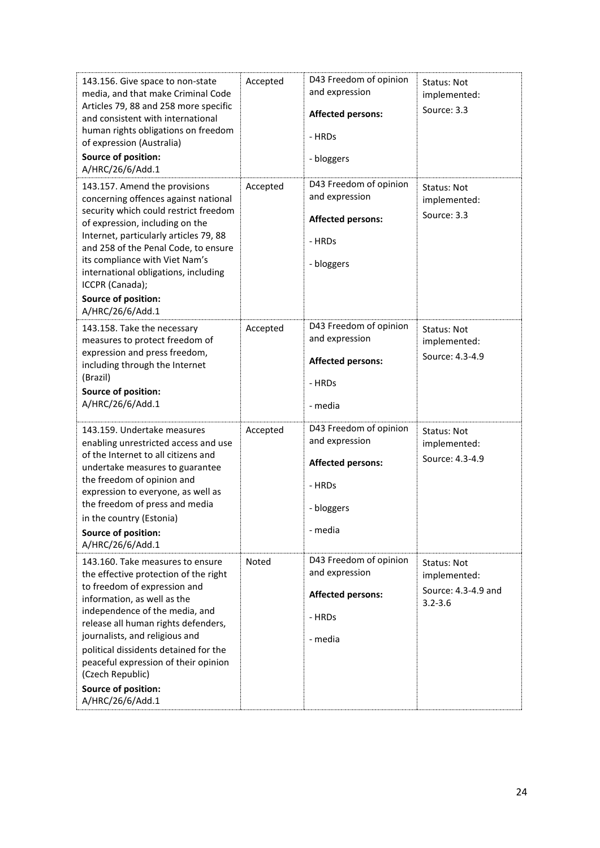| 143.156. Give space to non-state<br>media, and that make Criminal Code<br>Articles 79, 88 and 258 more specific<br>and consistent with international<br>human rights obligations on freedom<br>of expression (Australia)<br>Source of position:<br>A/HRC/26/6/Add.1                                                                                                                                        | Accepted | D43 Freedom of opinion<br>and expression<br><b>Affected persons:</b><br>- HRDs<br>- bloggers            | Status: Not<br>implemented:<br>Source: 3.3                        |
|------------------------------------------------------------------------------------------------------------------------------------------------------------------------------------------------------------------------------------------------------------------------------------------------------------------------------------------------------------------------------------------------------------|----------|---------------------------------------------------------------------------------------------------------|-------------------------------------------------------------------|
| 143.157. Amend the provisions<br>concerning offences against national<br>security which could restrict freedom<br>of expression, including on the<br>Internet, particularly articles 79, 88<br>and 258 of the Penal Code, to ensure<br>its compliance with Viet Nam's<br>international obligations, including<br>ICCPR (Canada);<br>Source of position:<br>A/HRC/26/6/Add.1                                | Accepted | D43 Freedom of opinion<br>and expression<br><b>Affected persons:</b><br>- HRDs<br>- bloggers            | Status: Not<br>implemented:<br>Source: 3.3                        |
| 143.158. Take the necessary<br>measures to protect freedom of<br>expression and press freedom,<br>including through the Internet<br>(Brazil)<br>Source of position:<br>A/HRC/26/6/Add.1                                                                                                                                                                                                                    | Accepted | D43 Freedom of opinion<br>and expression<br><b>Affected persons:</b><br>- HRDs<br>- media               | Status: Not<br>implemented:<br>Source: 4.3-4.9                    |
| 143.159. Undertake measures<br>enabling unrestricted access and use<br>of the Internet to all citizens and<br>undertake measures to guarantee<br>the freedom of opinion and<br>expression to everyone, as well as<br>the freedom of press and media<br>in the country (Estonia)<br><b>Source of position:</b><br>A/HRC/26/6/Add.1                                                                          | Accepted | D43 Freedom of opinion<br>and expression<br><b>Affected persons:</b><br>- HRDs<br>- bloggers<br>- media | Status: Not<br>implemented:<br>Source: 4.3-4.9                    |
| 143.160. Take measures to ensure<br>the effective protection of the right<br>to freedom of expression and<br>information, as well as the<br>independence of the media, and<br>release all human rights defenders,<br>journalists, and religious and<br>political dissidents detained for the<br>peaceful expression of their opinion<br>(Czech Republic)<br><b>Source of position:</b><br>A/HRC/26/6/Add.1 | Noted    | D43 Freedom of opinion<br>and expression<br><b>Affected persons:</b><br>- HRDs<br>- media               | Status: Not<br>implemented:<br>Source: 4.3-4.9 and<br>$3.2 - 3.6$ |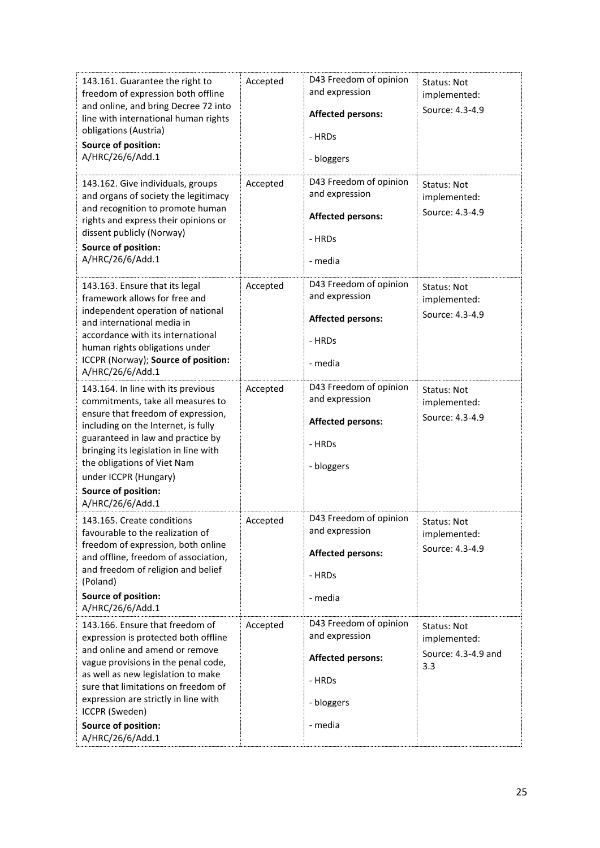| 143.161. Guarantee the right to<br>freedom of expression both offline<br>and online, and bring Decree 72 into<br>line with international human rights<br>obligations (Austria)<br>Source of position:<br>A/HRC/26/6/Add.1                                                                                                             | Accepted | D43 Freedom of opinion<br>and expression<br><b>Affected persons:</b><br>- HRDs<br>- bloggers            | Status: Not<br>implemented:<br>Source: 4.3-4.9            |
|---------------------------------------------------------------------------------------------------------------------------------------------------------------------------------------------------------------------------------------------------------------------------------------------------------------------------------------|----------|---------------------------------------------------------------------------------------------------------|-----------------------------------------------------------|
| 143.162. Give individuals, groups<br>and organs of society the legitimacy<br>and recognition to promote human<br>rights and express their opinions or<br>dissent publicly (Norway)<br>Source of position:<br>A/HRC/26/6/Add.1                                                                                                         | Accepted | D43 Freedom of opinion<br>and expression<br><b>Affected persons:</b><br>- HRDs<br>- media               | <b>Status: Not</b><br>implemented:<br>Source: 4.3-4.9     |
| 143.163. Ensure that its legal<br>framework allows for free and<br>independent operation of national<br>and international media in<br>accordance with its international<br>human rights obligations under<br>ICCPR (Norway); Source of position:<br>A/HRC/26/6/Add.1                                                                  | Accepted | D43 Freedom of opinion<br>and expression<br><b>Affected persons:</b><br>- HRDs<br>- media               | <b>Status: Not</b><br>implemented:<br>Source: 4.3-4.9     |
| 143.164. In line with its previous<br>commitments, take all measures to<br>ensure that freedom of expression,<br>including on the Internet, is fully<br>guaranteed in law and practice by<br>bringing its legislation in line with<br>the obligations of Viet Nam<br>under ICCPR (Hungary)<br>Source of position:<br>A/HRC/26/6/Add.1 | Accepted | D43 Freedom of opinion<br>and expression<br><b>Affected persons:</b><br>- HRDs<br>- bloggers            | Status: Not<br>implemented:<br>Source: 4.3-4.9            |
| 143.165. Create conditions<br>favourable to the realization of<br>freedom of expression, both online<br>and offline, freedom of association,<br>and freedom of religion and belief<br>(Poland)<br>Source of position:<br>A/HRC/26/6/Add.1                                                                                             | Accepted | D43 Freedom of opinion<br>and expression<br><b>Affected persons:</b><br>- HRDs<br>- media               | Status: Not<br>implemented:<br>Source: 4.3-4.9            |
| 143.166. Ensure that freedom of<br>expression is protected both offline<br>and online and amend or remove<br>vague provisions in the penal code,<br>as well as new legislation to make<br>sure that limitations on freedom of<br>expression are strictly in line with<br>ICCPR (Sweden)<br>Source of position:<br>A/HRC/26/6/Add.1    | Accepted | D43 Freedom of opinion<br>and expression<br><b>Affected persons:</b><br>- HRDs<br>- bloggers<br>- media | Status: Not<br>implemented:<br>Source: 4.3-4.9 and<br>3.3 |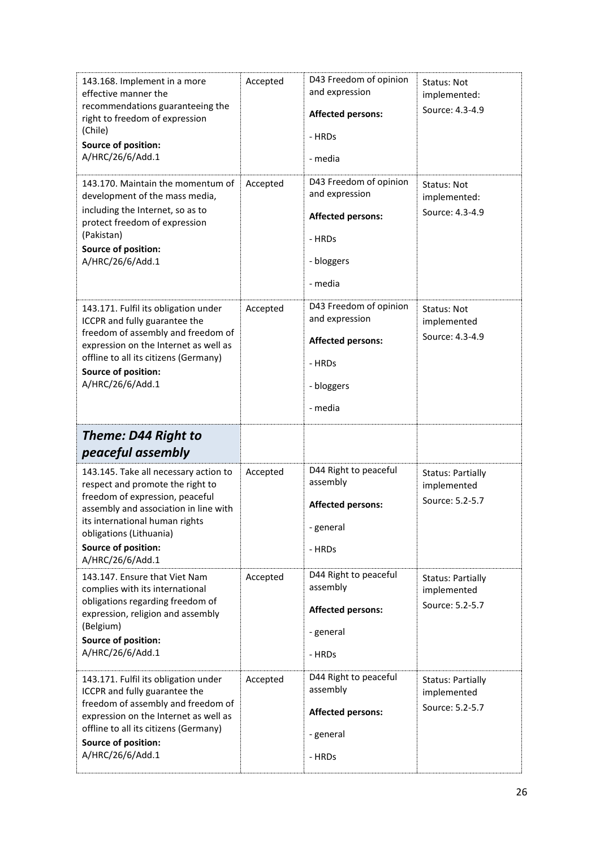| 143.168. Implement in a more<br>effective manner the<br>recommendations guaranteeing the<br>right to freedom of expression<br>(Chile)<br><b>Source of position:</b><br>A/HRC/26/6/Add.1                                                   | Accepted | D43 Freedom of opinion<br>and expression<br><b>Affected persons:</b><br>- HRDs<br>- media               | Status: Not<br>implemented:<br>Source: 4.3-4.9             |
|-------------------------------------------------------------------------------------------------------------------------------------------------------------------------------------------------------------------------------------------|----------|---------------------------------------------------------------------------------------------------------|------------------------------------------------------------|
| 143.170. Maintain the momentum of<br>development of the mass media,<br>including the Internet, so as to<br>protect freedom of expression<br>(Pakistan)<br>Source of position:<br>A/HRC/26/6/Add.1                                         | Accepted | D43 Freedom of opinion<br>and expression<br><b>Affected persons:</b><br>- HRDs<br>- bloggers<br>- media | Status: Not<br>implemented:<br>Source: 4.3-4.9             |
| 143.171. Fulfil its obligation under<br>ICCPR and fully guarantee the<br>freedom of assembly and freedom of<br>expression on the Internet as well as<br>offline to all its citizens (Germany)<br>Source of position:<br>A/HRC/26/6/Add.1  | Accepted | D43 Freedom of opinion<br>and expression<br><b>Affected persons:</b><br>- HRDs<br>- bloggers<br>- media | Status: Not<br>implemented<br>Source: 4.3-4.9              |
|                                                                                                                                                                                                                                           |          |                                                                                                         |                                                            |
| <b>Theme: D44 Right to</b><br>peaceful assembly                                                                                                                                                                                           |          |                                                                                                         |                                                            |
| 143.145. Take all necessary action to<br>respect and promote the right to<br>freedom of expression, peaceful<br>assembly and association in line with<br>its international human rights<br>obligations (Lithuania)<br>Source of position: | Accepted | D44 Right to peaceful<br>assembly<br><b>Affected persons:</b><br>- general<br>- HRDs                    | <b>Status: Partially</b><br>implemented<br>Source: 5.2-5.7 |
| A/HRC/26/6/Add.1<br>143.147. Ensure that Viet Nam<br>complies with its international<br>obligations regarding freedom of<br>expression, religion and assembly<br>(Belgium)<br>Source of position:<br>A/HRC/26/6/Add.1                     | Accepted | D44 Right to peaceful<br>assembly<br><b>Affected persons:</b><br>- general<br>- HRDs                    | <b>Status: Partially</b><br>implemented<br>Source: 5.2-5.7 |